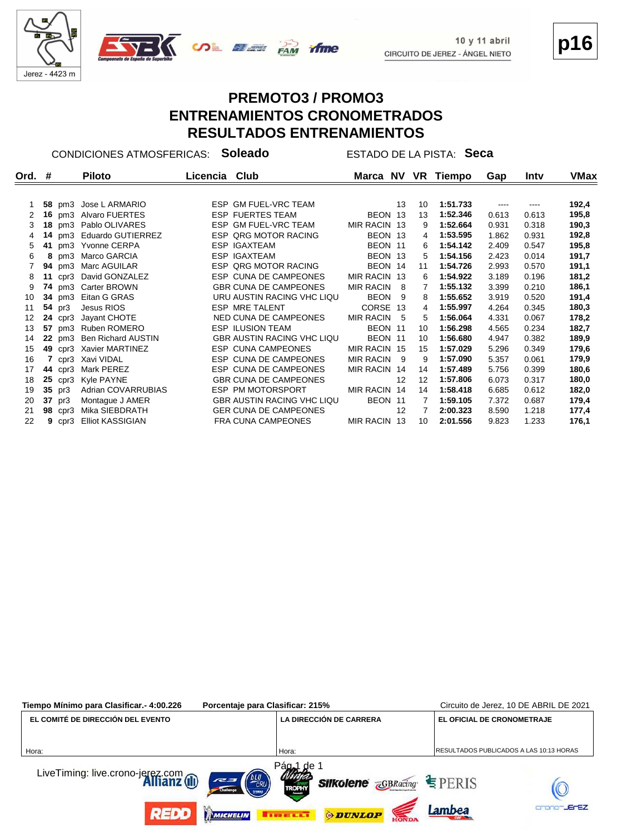

#### **PREMOTO3 / PROMO3 ENTRENAMIENTOS CRONOMETRADOS RESULTADOS ENTRENAMIENTOS**

CONDICIONES ATMOSFERICAS: **Soleado** ESTADO DE LA PISTA: **Seca**

| Ord. $#$ |    |                | Piloto                    | Licencia Club |                                   |                  |     |    | Marca NV VR Tiempo | Gap   | Intv  | VMax  |
|----------|----|----------------|---------------------------|---------------|-----------------------------------|------------------|-----|----|--------------------|-------|-------|-------|
|          |    |                |                           |               |                                   |                  |     |    |                    |       |       |       |
|          |    |                | 58 pm3 Jose L ARMARIO     |               | ESP GM FUEL-VRC TEAM              |                  | 13  | 10 | 1:51.733           |       | ----  | 192,4 |
| 2        |    |                | 16 pm3 Alvaro FUERTES     |               | <b>ESP FUERTES TEAM</b>           | BEON 13          |     | 13 | 1:52.346           | 0.613 | 0.613 | 195,8 |
| 3        |    |                | 18 pm3 Pablo OLIVARES     |               | ESP GM FUEL-VRC TEAM              | MIR RACIN 13     |     | 9  | 1:52.664           | 0.931 | 0.318 | 190,3 |
| 4        |    |                | 14 pm3 Eduardo GUTIERREZ  |               | ESP QRG MOTOR RACING              | BEON 13          |     | 4  | 1:53.595           | 1.862 | 0.931 | 192,8 |
| 5        |    |                | 41 pm3 Yvonne CERPA       |               | <b>ESP IGAXTEAM</b>               | BEON 11          |     | 6  | 1:54.142           | 2.409 | 0.547 | 195,8 |
| 6        |    |                | 8 pm3 Marco GARCIA        |               | <b>ESP IGAXTEAM</b>               | BEON 13          |     | 5  | 1:54.156           | 2.423 | 0.014 | 191,7 |
|          |    |                | 94 pm3 Marc AGUILAR       |               | ESP QRG MOTOR RACING              | BEON 14          |     | 11 | 1:54.726           | 2.993 | 0.570 | 191,1 |
| 8        |    |                | 11 cpr3 David GONZALEZ    |               | ESP CUNA DE CAMPEONES             | MIR RACIN 13     |     | 6  | 1:54.922           | 3.189 | 0.196 | 181,2 |
| 9        |    |                | 74 pm3 Carter BROWN       |               | <b>GBR CUNA DE CAMPEONES</b>      | <b>MIR RACIN</b> | - 8 | 7  | 1:55.132           | 3.399 | 0.210 | 186,1 |
| 10       |    |                | 34 pm3 Eitan G GRAS       |               | URU AUSTIN RACING VHC LIQU        | <b>BEON</b>      | - 9 | 8  | 1:55.652           | 3.919 | 0.520 | 191,4 |
| 11       |    | 54 pr3         | Jesus RIOS                |               | ESP MRE TALENT                    | CORSE 13         |     | 4  | 1:55.997           | 4.264 | 0.345 | 180,3 |
| 12       |    |                | 24 cpr3 Jayant CHOTE      |               | NED CUNA DE CAMPEONES             | <b>MIR RACIN</b> | - 5 | 5  | 1:56.064           | 4.331 | 0.067 | 178,2 |
| 13       |    |                | 57 pm3 Ruben ROMERO       |               | <b>ESP ILUSION TEAM</b>           | BEON 11          |     | 10 | 1:56.298           | 4.565 | 0.234 | 182,7 |
| 14       |    |                | 22 pm3 Ben Richard AUSTIN |               | <b>GBR AUSTIN RACING VHC LIQU</b> | BEON 11          |     | 10 | 1:56.680           | 4.947 | 0.382 | 189,9 |
| 15       |    |                | 49 cpr3 Xavier MARTINEZ   |               | <b>ESP CUNA CAMPEONES</b>         | MIR RACIN 15     |     | 15 | 1:57.029           | 5.296 | 0.349 | 179,6 |
| 16       |    |                | 7 cpr3 Xavi VIDAL         |               | ESP CUNA DE CAMPEONES             | MIR RACIN 9      |     | 9  | 1:57.090           | 5.357 | 0.061 | 179,9 |
| 17       |    | <b>44</b> cpr3 | Mark PEREZ                |               | ESP CUNA DE CAMPEONES             | MIR RACIN 14     |     | 14 | 1:57.489           | 5.756 | 0.399 | 180,6 |
| 18       |    |                | 25 cpr3 Kyle PAYNE        |               | <b>GBR CUNA DE CAMPEONES</b>      |                  | 12  | 12 | 1:57.806           | 6.073 | 0.317 | 180,0 |
| 19       |    | 35 pr3         | Adrian COVARRUBIAS        |               | ESP PM MOTORSPORT                 | MIR RACIN 14     |     | 14 | 1:58.418           | 6.685 | 0.612 | 182,0 |
| 20       | 37 | pr3            | Montague J AMER           |               | <b>GBR AUSTIN RACING VHC LIQU</b> | BEON 11          |     | 7  | 1:59.105           | 7.372 | 0.687 | 179,4 |
| 21       |    | <b>98</b> cpr3 | Mika SIEBDRATH            |               | <b>GER CUNA DE CAMPEONES</b>      |                  | 12  | 7  | 2:00.323           | 8.590 | 1.218 | 177,4 |
| 22       |    | $9$ cpr3       | <b>Elliot KASSIGIAN</b>   |               | FRA CUNA CAMPEONES                | MIR RACIN 13     |     | 10 | 2:01.556           | 9.823 | 1.233 | 176,1 |

| Tiempo Mínimo para Clasificar.- 4:00.226                 | Porcentaje para Clasificar: 215% |                                             |                                                                     | Circuito de Jerez, 10 DE ABRIL DE 2021  |
|----------------------------------------------------------|----------------------------------|---------------------------------------------|---------------------------------------------------------------------|-----------------------------------------|
| EL COMITÉ DE DIRECCIÓN DEL EVENTO                        |                                  | LA DIRECCIÓN DE CARRERA                     | EL OFICIAL DE CRONOMETRAJE                                          |                                         |
| Hora:                                                    |                                  | Hora:                                       |                                                                     | RESULTADOS PUBLICADOS A LAS 10:13 HORAS |
| LiveTiming: live.crono-jerez.com<br><b>Allianz</b> (iii) | ERU<br>727                       | Pág <sub>a</sub> 1<br>de 1<br><b>TROPHY</b> | <b>Silkolene</b> $\overline{\mathsf{c}}$ GBRacing $\subseteq$ PERIS |                                         |
| REDD                                                     | MICHELIN                         | <b>ODUNLOP</b><br><b>TELESCO</b>            | Lambea                                                              | -JErEZ                                  |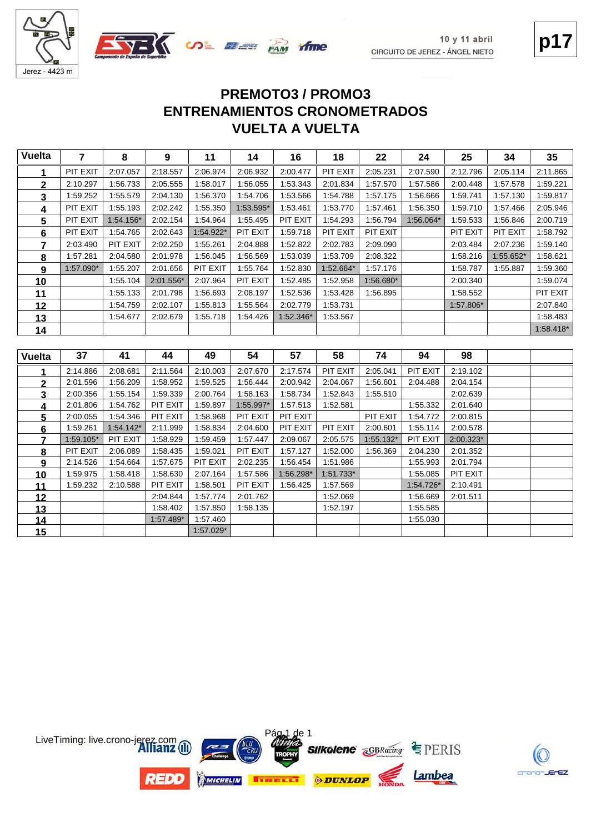

# **VUELTA A VUELTA ENTRENAMIENTOS CRONOMETRADOS PREMOTO3 / PROMO3**

| <b>Vuelta</b>  | $\overline{7}$ | 8         | 9                    | 11                   | 14                   | 16        | 18                   | 22        | 24                    | 25                   | 34        | 35        |
|----------------|----------------|-----------|----------------------|----------------------|----------------------|-----------|----------------------|-----------|-----------------------|----------------------|-----------|-----------|
| 1              | PIT EXIT       | 2:07.057  | 2:18.557             | 2:06.974             | 2:06.932             | 2:00.477  | PIT EXIT             | 2:05.231  | 2:07.590              | 2:12.796             | 2:05.114  | 2:11.865  |
| $\mathbf 2$    | 2:10.297       | 1:56.733  | 2:05.555             | 1:58.017             | 1:56.055             | 1:53.343  | 2:01.834             | 1:57.570  | 1:57.586              | 2:00.448             | 1:57.578  | 1:59.221  |
| 3              | 1:59.252       | 1:55.579  | 2:04.130             | 1:56.370             | 1:54.706             | 1:53.566  | 1:54.788             | 1:57.175  | 1:56.666              | 1:59.741             | 1:57.130  | 1:59.817  |
| 4              | PIT EXIT       | 1:55.193  | 2:02.242             | 1:55.350             | 1:53.595*            | 1:53.461  | 1:53.770             | 1:57.461  | 1:56.350              | 1:59.710             | 1:57.466  | 2:05.946  |
| 5              | PIT EXIT       | 1:54.156* | 2:02.154             | 1:54.964             | 1:55.495             | PIT EXIT  | 1:54.293             | 1:56.794  | 1:56.064*             | 1:59.533             | 1:56.846  | 2:00.719  |
| 6              | PIT EXIT       | 1:54.765  | 2:02.643             | 1:54.922*            | PIT EXIT             | 1:59.718  | PIT EXIT             | PIT EXIT  |                       | PIT EXIT             | PIT EXIT  | 1:58.792  |
| $\overline{7}$ | 2:03.490       | PIT EXIT  | 2:02.250             | 1:55.261             | 2:04.888             | 1:52.822  | 2:02.783             | 2:09.090  |                       | 2:03.484             | 2:07.236  | 1:59.140  |
| 8              | 1:57.281       | 2:04.580  | 2:01.978             | 1:56.045             | 1:56.569             | 1:53.039  | 1:53.709             | 2:08.322  |                       | 1:58.216             | 1:55.652* | 1:58.621  |
| 9              | 1:57.090*      | 1:55.207  | 2:01.656             | PIT EXIT             | 1:55.764             | 1:52.830  | 1:52.664*            | 1:57.176  |                       | 1:58.787             | 1:55.887  | 1:59.360  |
| 10             |                | 1:55.104  | 2:01.556*            | 2:07.964             | PIT EXIT             | 1:52.485  | 1:52.958             | 1:56.680* |                       | 2:00.340             |           | 1:59.074  |
| 11             |                | 1:55.133  | 2:01.798             | 1:56.693             | 2:08.197             | 1:52.536  | 1:53.428             | 1:56.895  |                       | 1:58.552             |           | PIT EXIT  |
| 12             |                | 1:54.759  | 2:02.107             | 1:55.813             | 1:55.564             | 2:02.779  | 1:53.731             |           |                       | 1:57.806*            |           | 2:07.840  |
| 13             |                | 1:54.677  | 2:02.679             | 1:55.718             | 1:54.426             | 1:52.346* | 1:53.567             |           |                       |                      |           | 1:58.483  |
|                |                |           |                      |                      |                      |           |                      |           |                       |                      |           |           |
| 14             |                |           |                      |                      |                      |           |                      |           |                       |                      |           | 1:58.418* |
|                |                |           |                      |                      |                      |           |                      |           |                       |                      |           |           |
| <b>Vuelta</b>  | 37             | 41        | 44                   | 49                   | 54                   | 57        | 58                   | 74        | 94                    | 98                   |           |           |
|                | 2:14.886       | 2:08.681  | 2:11.564             | 2:10.003             | 2:07.670             | 2:17.574  | PIT EXIT             | 2:05.041  | PIT EXIT              | 2:19.102             |           |           |
| 2              | 2:01.596       | 1:56.209  | 1:58.952             | 1:59.525             | 1:56.444             | 2:00.942  | 2:04.067             | 1:56.601  | 2:04.488              | 2:04.154             |           |           |
| 3              | 2:00.356       | 1:55.154  | 1:59.339             | 2:00.764             | 1:58.163             | 1:58.734  | 1:52.843             | 1:55.510  |                       | 2:02.639             |           |           |
| 4              | 2:01.806       | 1:54.762  | PIT EXIT             | 1:59.897             | 1:55.997*            | 1:57.513  | 1:52.581             |           | 1:55.332              | 2:01.640             |           |           |
| 5              | 2:00.055       | 1:54.346  | PIT EXIT             | 1:58.968             | PIT EXIT             | PIT EXIT  |                      | PIT EXIT  | 1:54.772              | 2:00.815             |           |           |
| 6              | 1:59.261       | 1:54.142* | 2:11.999             | 1:58.834             | 2:04.600             | PIT EXIT  | PIT EXIT             | 2:00.601  | 1:55.114              | 2:00.578             |           |           |
| 7              | 1:59.105*      | PIT EXIT  | 1:58.929             | 1:59.459             | 1:57.447             | 2:09.067  | 2:05.575             | 1:55.132* | PIT EXIT              | 2:00.323*            |           |           |
| 8              | PIT EXIT       | 2:06.089  | 1:58.435             | 1:59.021             | PIT EXIT             | 1:57.127  | 1:52.000             | 1:56.369  | 2:04.230              | 2:01.352             |           |           |
| 9              | 2:14.526       | 1:54.664  | 1:57.675             | PIT EXIT             | 2:02.235             | 1:56.454  | 1:51.986             |           | 1:55.993              | 2:01.794             |           |           |
| 10             | 1:59.975       | 1:58.418  | 1:58.630             | 2:07.164             | 1:57.586             | 1:56.298* | $1:51.733*$          |           | 1:55.085              | PIT EXIT             |           |           |
| 11<br>12       | 1:59.232       | 2:10.588  | PIT EXIT<br>2:04.844 | 1:58.501<br>1:57.774 | PIT EXIT<br>2:01.762 | 1:56.425  | 1:57.569<br>1:52.069 |           | 1:54.726*<br>1:56.669 | 2:10.491<br>2:01.511 |           |           |

 **1** 1:58.402 **1:57.850 1:58.135 1:52.197 1:55.585** 1:57.489 **1:57.489** 1:57.460 **1:57.460** 1:57.460 **1:55.030** 

1:57.029\*

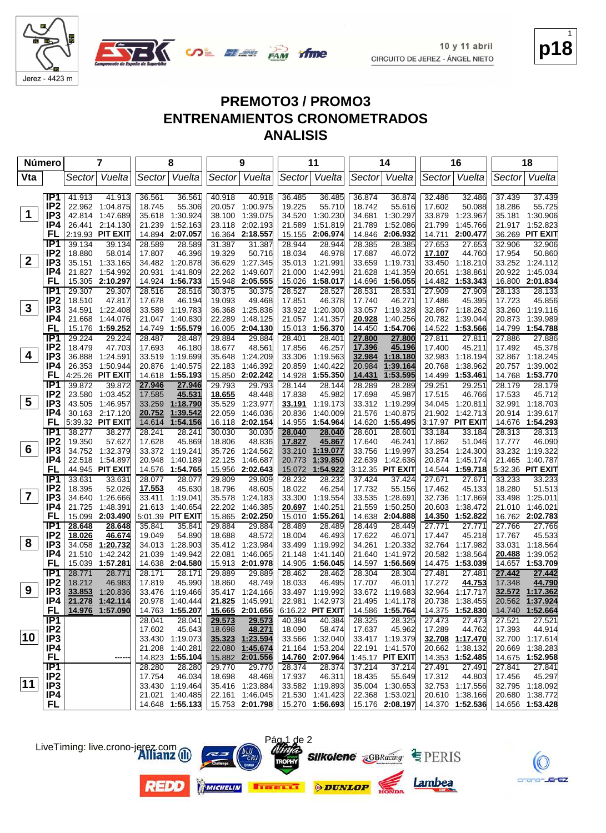



| <b>Número</b>           |                                    | 7                                      | 8                                     | 9                                    | 11                                                 | 14                                       | 16                                   | 18                                 |
|-------------------------|------------------------------------|----------------------------------------|---------------------------------------|--------------------------------------|----------------------------------------------------|------------------------------------------|--------------------------------------|------------------------------------|
| Vta                     |                                    | Vuelta<br>Sector                       | Sector Vuelta                         | Sector Vuelta                        | Vuelta<br>Sector                                   | Sector Vuelta                            | Sector Vuelta                        | Sector Vuelta                      |
|                         | IP1                                | 41.913<br>41.913                       | 36.561<br>36.561                      | 40.918<br>40.918                     | 36.485<br>36.485                                   | 36.874<br>36.874                         | 32.486<br>32.486                     | 37.439<br>37.439                   |
|                         | IP <sub>2</sub>                    | 22.962 1:04.875                        | 55.306<br>18.745                      | 20.057<br>1:00.975                   | 19.225<br>55.710                                   | 18.742<br>55.616                         | 17.602<br>50.088                     | 18.286<br>55.725                   |
| $\mathbf 1$             | IP3                                | 42.814 1:47.689                        | 35.618<br>1:30.924                    | 38.100<br>1:39.075                   | 34.520<br>1:30.230                                 | 34.681<br>1:30.297                       | 33.879<br>1:23.967                   | 35.181<br>1:30.906                 |
|                         | IP4                                | 26.441 2:14.130                        | 1:52.163<br>21.239                    | 2:02.193<br>23.118                   | 1:51.819<br>21.589                                 | 1:52.086<br>21.789                       | 1:45.766<br>21.799                   | 21.917 1:52.823                    |
|                         | FL                                 | 2:19.93 PIT EXIT                       | 14.894 2:07.057                       | 2:18.557<br>16.364                   | 2:06.974<br>15.155                                 | 2:06.932<br>14.846                       | 14.711<br>2:00.477                   | 36.269 PIT EXIT                    |
|                         | IP <sub>1</sub>                    | 39.134<br>39.134                       | 28.589<br>28.589                      | 31.387<br>31.387                     | 28.944<br>28.944                                   | 28.385<br>28.385                         | 27.653<br>27.653                     | 32.906<br>32.906                   |
|                         | IP <sub>2</sub>                    | 18.880<br>58.014                       | 46.396<br>17.807                      | 19.329<br>50.716                     | 18.034<br>46.978                                   | 17.687<br>46.072                         | 17.107<br>44.760                     | 17.954<br>50.860                   |
| $\mathbf{2}$            | IP3                                | 35.151<br>1:33.165                     | 34.482 1:20.878                       | 36.629<br>1:27.345                   | 35.013<br>1:21.991                                 | 33.659<br>1:19.731                       | 33.450<br>1:18.210                   | 33.252 1:24.112                    |
|                         | IP4                                | 21.827 1:54.992                        | 20.931<br>1:41.809                    | 22.262<br>1:49.607                   | 21.000<br>1:42.991                                 | 21.628<br>1:41.359                       | 1:38.861<br>20.651                   | 20.922 1:45.034                    |
|                         | FL                                 | 15.305 2:10.297                        | 14.924<br>1:56.733                    | 15.948<br>2:05.555                   | 1:58.017<br>15.026                                 | 14.696<br>1:56.055                       | 14.482 1:53.343                      | 16.800 2:01.834                    |
|                         | IP1                                | 29.307<br>29.307                       | 28.516<br>28.516                      | 30.375<br>30.375                     | 28.527<br>28.527                                   | 28.531<br>28.531                         | 27.909<br>27.909                     | 28.133<br>28.133                   |
|                         | IP <sub>2</sub>                    | 18.510<br>47.817                       | 17.678<br>46.194                      | 19.093<br>49.468                     | 17.851<br>46.378                                   | 17.740<br>46.271                         | 17.486<br>45.395                     | 17.723<br>45.856                   |
| $\mathbf{3}$            | IP3                                | 34.591<br>1:22.408                     | 33.589<br>1:19.783                    | 1:25.836<br>36.368                   | 33.922 1:20.300                                    | 33.057<br>1:19.328                       | 32.867 1:18.262                      | 33.260 1:19.116                    |
|                         | IP4                                | 21.668<br>1:44.076                     | 1:40.830<br>21.047                    | 22.289<br>1:48.125                   | 21.057<br>1:41.357                                 | 20.928<br>1:40.256                       | 20.782 1:39.044                      | 20.873<br>1:39.989                 |
|                         | FL                                 | 15.176<br>1:59.252                     | 14.749<br>1:55.579                    | 2:04.130<br>16.005                   | 15.013<br>1:56.370                                 | 14.450<br>1:54.706                       | 14.522 1:53.566                      | 14.799 1:54.788                    |
|                         | IP <sub>1</sub>                    | 29.224<br>29.224                       | 28.487<br>28.487                      | 29.884<br>29.884                     | 28.401<br>28.401                                   | <u>27.800</u><br><u>27.800</u>           | 27.811<br>27.811                     | 27.886<br>27.886                   |
| 4                       | IP <sub>2</sub><br>IP3             | 18.479<br>47.703<br>36.888<br>1:24.591 | 17.693<br>46.180                      | 18.677<br>48.561<br>1:24.209         | 17.856<br>46.257                                   | 17.396<br>45.196                         | 17.400<br>45.211<br>32.983           | 17.492<br>45.378                   |
|                         | IP4                                | 26.353 1:50.944                        | 33.519 1:19.699<br>20.876<br>1:40.575 | 35.648<br>22.183<br>1:46.392         | 33.306<br>1:19.563<br>20.859<br>1:40.422           | 32.984<br>1:18.180<br>20.984<br>1:39.164 | 1:18.194<br>20.768<br>1:38.962       | 32.867 1:18.245<br>20.757 1:39.002 |
|                         | FL                                 | 4:25.26 PIT EXIT                       | 14.618 1:55.193                       | 15.850<br>2:02.242                   | 14.928<br>1:55.350                                 | 14.431<br>1:53.595                       | 14.499 1:53.461                      | 14.768 1:53.770                    |
|                         | IP <sub>1</sub>                    | 39.872<br>39.872                       | 27.946<br>27.946                      | 29.793<br>29.793                     | 28.144<br>28.144                                   | 28.289<br>28.289                         | 29.251<br>29.251                     | 28.179<br>28.179                   |
|                         | IP <sub>2</sub>                    | 23.580<br>1:03.452                     | 45.531<br>17.585                      | 18.655<br>48.448                     | 17.838<br>45.982                                   | 17.698<br>45.987                         | 17.515<br>46.766                     | 17.533<br>45.712                   |
| $\overline{\mathbf{5}}$ | IP <sub>3</sub>                    | 43.505 1:46.957                        | 1:18.790<br>33.259                    | 35.529<br>1:23.977                   | 33.191<br>1:19.173                                 | 33.312 1:19.299                          | 34.045<br>1:20.811                   | 32.991 1:18.703                    |
|                         | IP4                                | 30.163 2:17.120                        | 20.752<br>1:39.542                    | 22.059<br>1:46.036                   | 20.836<br>1:40.009                                 | 21.576<br>1:40.875                       | 21.902 1:42.713                      | 20.914 1:39.617                    |
|                         | FL                                 | 5:39.32 PIT EXIT                       | 1:54.156<br>14.614                    | 2:02.154<br>16.118                   | 14.955<br>1:54.964                                 | 14.620 1:55.495                          | 3:17.97 PIT EXIT                     | 14.676 1:54.293                    |
|                         | IP <sub>1</sub>                    | 38.277<br>38.277                       | 28.241<br>28.241                      | 30.030<br>30.030                     | 28.040<br>28.040                                   | 28.601<br>28.601                         | 33.184<br>33.184                     | 28.313<br>28.313                   |
|                         | IP <sub>2</sub>                    | 19.350<br>57.627                       | 17.628<br>45.869                      | 18.806<br>48.836                     | 17.827<br>45.867                                   | 17.640<br>46.241                         | 17.862<br>51.046                     | 17.777<br>46.090                   |
| 6                       | IP <sub>3</sub>                    | 34.752 1:32.379                        | 33.372 1:19.241                       | 1:24.562<br>35.726                   | 33.210<br>1:19.077                                 | 33.756<br>1:19.997                       | 33.254<br>1:24.300                   | 33.232 1:19.322                    |
|                         | IP4                                | 22.518 1:54.897                        | 1:40.189<br>20.948                    | 22.125<br>1:46.687                   | 20.773<br>1:39.850                                 | 22.639<br>1:42.636                       | 20.874<br>1:45.174                   | 21.465 1:40.787                    |
|                         | FL                                 | 44.945 PIT EXIT                        | 14.576 1:54.765                       | 15.956<br>2:02.643                   | 1:54.922<br>15.072                                 | 3:12.35 PIT EXIT                         | 14.544 1:59.718                      | 5:32.36 PIT EXIT                   |
|                         | IP1                                | 33.631<br>33.631                       | 28.077<br>28.077                      | 29.809<br>29.809                     | 28.232<br>28.232                                   | 37.424<br>37.424                         | 27.671<br>27.671                     | 33.233<br>33.233                   |
|                         | IP <sub>2</sub>                    | 18.395<br>52.026                       | 17.553<br>45.630                      | 18.796<br>48.605                     | 18.022<br>46.254                                   | 17.732<br>55.156                         | 17.462<br>45.133                     | 18.280<br>51.513                   |
| $\overline{\mathbf{7}}$ | IP3                                | 34.640<br>1:26.666                     | 33.411<br>1:19.041                    | 1:24.183<br>35.578                   | 33.300<br>1:19.554                                 | 33.535<br>1:28.691                       | 32.736<br>1:17.869                   | 33.498<br>1:25.011                 |
|                         | IP4                                | 21.725<br>1:48.391                     | 21.613<br>1:40.654                    | 22.202<br>1:46.385                   | 20.697<br>1:40.251                                 | 21.559<br>1:50.250                       | 20.603<br>1:38.472                   | 21.010 1:46.021                    |
|                         | FL<br>IP1                          | 15.099 2:03.490                        | 5:01.39 PIT EXIT                      | 15.865 2:02.250                      | 15.010<br>1:55.261<br>28.489                       | 14.638<br>2:04.888                       | 14.350 1:52.822                      | 16.762 2:02.783<br>27.766          |
|                         | IP <sub>2</sub>                    | 28.648<br>28.648<br>18.026<br>46.674   | 35.841<br>35.841<br>54.890<br>19.049  | 29.884<br>29.884<br>18.688<br>48.572 | 28.489<br>18.004<br>46.493                         | 28.449<br>28.449<br>17.622<br>46.071     | 27.771<br>27.771<br>17.447<br>45.218 | 27.766<br>17.767<br>45.533         |
| 8                       | IP <sub>3</sub>                    | 1:20.732<br>34.058                     | 34.013<br>1:28.903                    | 35.412 1:23.984                      | 33.499<br>1:19.992                                 | 34.261<br>1:20.332                       | 32.764<br>1:17.982                   | 33.031<br>1:18.564                 |
|                         | IP4                                | 1:42.242<br>21.510                     | 21.039<br>1:49.942                    | 22.081<br>1:46.065                   | 21.148<br>1:41.140                                 | 21.640<br>1:41.972                       | 20.582<br>1:38.564                   | 20.488<br>1:39.052                 |
|                         | FL                                 | 1:57.281<br>15.039                     | 14.638 2:04.580                       | 15.913 2:01.978                      | 14.905<br>1:56.045                                 | 14.597 1:56.569                          | 14.475 1:53.039                      | 1:53.709<br>14.657                 |
|                         | IP1                                | 28.771<br>28.771                       | 28.171<br>28.171                      | 29.889<br>29.889                     | 28.462<br>28.462                                   | 28.304<br>28.304                         | 27.481<br>27.481                     | 27.442<br>27.442                   |
|                         | IP <sub>2</sub>                    | 18.212<br>46.983                       | 17.819<br>45.990                      | 18.860<br>48.749                     | 18.033<br>46.495                                   | 17.707<br>46.011                         | 17.272<br>44.753                     | 44.790<br>17.348                   |
| 9                       | IP <sub>3</sub>                    | 33.853<br>1:20.836                     | 33.476 1:19.466                       | 35.417 1:24.166                      | 33.497 1:19.992                                    | 33.672 1:19.683                          | 32.964 1:17.717                      | 32.572 1:17.362                    |
|                         | IP4                                | 21.278 1:42.114                        | 20.978 1:40.444                       | 21.825 1:45.991                      | 22.981 1:42.973                                    | 21.495 1:41.178                          | 20.738 1:38.455                      | 20.562 1:37.924                    |
|                         | FL.                                | 14.976 1:57.090                        | 14.763 1:55.207                       | 15.665 2:01.656                      | 6:16.22 PIT EXIT                                   | 14.586 1:55.764                          | 14.375 1:52.830                      | 14.740 1:52.664                    |
|                         | IP1                                |                                        | 28.041<br>28.041                      | 29.573<br>29.573                     | 40.384<br>40.384                                   | 28.325<br>28.325                         | 27.473<br>27.473                     | 27.521<br>27.521                   |
|                         | IP <sub>2</sub>                    |                                        | 45.643<br>17.602                      | 48.271<br>18.698                     | 18.090<br>58.474                                   | 17.637<br>45.962                         | 17.289<br>44.762                     | 17.393<br>44.914                   |
| 10                      | IP <sub>3</sub>                    |                                        | 33.430 1:19.073                       | 35.323 1:23.594                      | 33.566 1:32.040                                    | 33.417 1:19.379                          | 32.708 1:17.470                      | 32.700 1:17.614                    |
|                         | IP4                                |                                        | 21.208 1:40.281                       | 1:45.674<br>22.080                   | 21.164 1:53.204                                    | 22.191 1:41.570                          | 20.662 1:38.132                      | 20.669 1:38.283                    |
|                         | <b>FL</b>                          |                                        | 14.823 1:55.104                       | 15.882 2:01.556                      | 14.760 2:07.964                                    | 1:45.17 PIT EXIT                         | 14.353 1:52.485                      | 14.675 1:52.958                    |
|                         | IP1                                |                                        | 28.280<br>28.280                      | 29.770<br>29.770                     | 28.374<br>28.374                                   | 37.214<br>37.214                         | 27.491<br>27.491                     | 27.841<br>27.841                   |
| $ 11\rangle$            | IP <sub>2</sub><br>IP <sub>3</sub> |                                        | 46.034<br>17.754                      | 48.468<br>18.698                     | 17.937<br>46.311                                   | 55.649<br>18.435                         | 17.312<br>44.803                     | 17.456<br>45.297                   |
|                         | IP4                                |                                        | 33.430 1:19.464<br>21.021 1:40.485    | 35.416 1:23.884<br>22.161 1:46.045   | 33.582 1:19.893                                    | 35.004 1:30.653<br>22.368 1:53.021       | 32.753 1:17.556<br>20.610 1:38.166   | 32.795 1:18.092<br>20.680 1:38.772 |
|                         | <b>FL</b>                          |                                        | 14.648 1:55.133                       |                                      | 21.530 1:41.423<br>15.753 2:01.798 15.270 1:56.693 | 15.176 2:08.197                          | 14.370 1:52.536                      | 14.656 1:53.428                    |
|                         |                                    |                                        |                                       |                                      |                                                    |                                          |                                      |                                    |

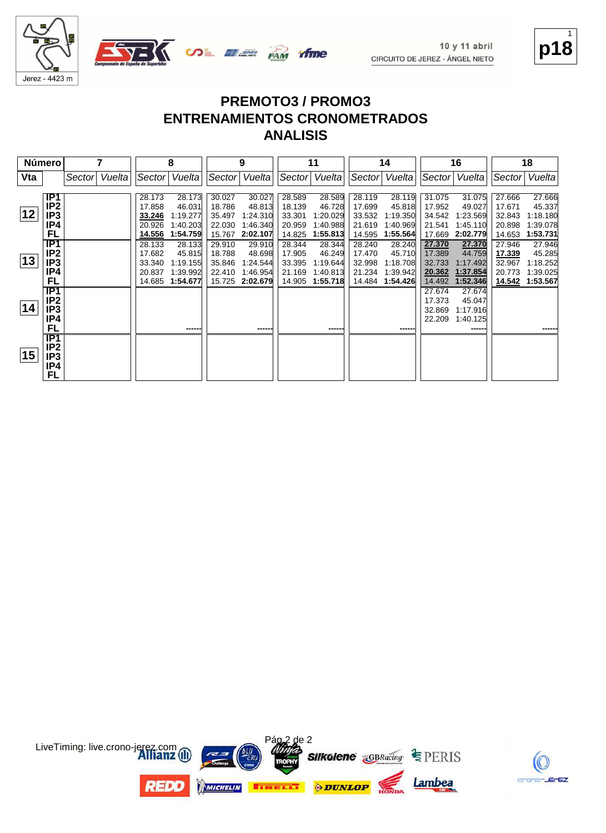

**p18** 1

|              | <b>Número</b>                                           |        |        |                                                | 8                                                    |                                                | 9                                                    |                                                | 11                                                   |                                                | 14                                                   |                                                | 16                                                   |                                                | 18                                                   |
|--------------|---------------------------------------------------------|--------|--------|------------------------------------------------|------------------------------------------------------|------------------------------------------------|------------------------------------------------------|------------------------------------------------|------------------------------------------------------|------------------------------------------------|------------------------------------------------------|------------------------------------------------|------------------------------------------------------|------------------------------------------------|------------------------------------------------------|
| Vta          |                                                         | Sector | Vuelta | Sector                                         | Vuelta                                               | Sector                                         | Vuelta                                               | Sector                                         | Vuelta                                               | Sector                                         | Vuelta                                               | Sector                                         | Vuelta                                               | Sector                                         | Vuelta                                               |
| $ 12\rangle$ | IP1<br>IP <sub>2</sub><br>IP3<br>IP4<br>FL              |        |        | 28.173<br>17.858<br>33.246<br>20.926<br>14.556 | 28.173<br>46.031<br>1:19.277<br>1:40.203<br>1:54.759 | 30.027<br>18.786<br>35.497<br>22.030<br>15.767 | 30.027<br>48.813<br>1:24.310<br>1:46.340<br>2:02.107 | 28.589<br>18.139<br>33.301<br>20.959<br>14.825 | 28.589<br>46.728<br>1:20.029<br>1:40.988<br>1:55.813 | 28.119<br>17.699<br>33.532<br>21.619<br>14.595 | 28.119<br>45.818<br>1:19.350<br>1:40.969<br>1:55.564 | 31.075<br>17.952<br>34.542<br>21.541<br>17.669 | 31.075<br>49.027<br>1:23.569<br>1:45.110<br>2:02.779 | 27.666<br>17.671<br>32.843<br>20.898<br>14.653 | 27.666<br>45.337<br>1:18.180<br>1:39.078<br>1:53.731 |
| 13           | $\overline{IP1}$<br>IP <sub>2</sub><br>IP3<br>IP4<br>FL |        |        | 28.133<br>17.682<br>33.340<br>20.837<br>14.685 | 28.133<br>45.815<br>1:19.155<br>1:39.992<br>1:54.677 | 29.910<br>18.788<br>35.846<br>22.410<br>15.725 | 29.910<br>48.698<br>1:24.544<br>1:46.954<br>2:02.679 | 28.344<br>17.905<br>33.395<br>21.169<br>14.905 | 28.344<br>46.249<br>1:19.644<br>1:40.813<br>1:55.718 | 28.240<br>17.470<br>32.998<br>21.234<br>14.484 | 28.240<br>45.710<br>1:18.708<br>1:39.942<br>1:54.426 | 27.370<br>17.389<br>32.733<br>20.362<br>14.492 | 27.370<br>44.759<br>1:17.492<br>1:37.854<br>1:52.346 | 27.946<br>17.339<br>32.967<br>20.773<br>14.542 | 27.946<br>45.285<br>1:18.252<br>1:39.025<br>1:53.567 |
| 14           | IP1<br>IP <sub>2</sub><br>IP3<br>IP4<br>FL              |        |        |                                                | ------                                               |                                                | -----                                                |                                                | ------                                               |                                                | ------                                               | 27.674<br>17.373<br>32.869<br>22.209           | 27.674<br>45.047<br>1:17.916<br>1:40.125<br>------   |                                                |                                                      |
| 15           | IP1<br>IP2<br>IP3<br>IP4<br>FL                          |        |        |                                                |                                                      |                                                |                                                      |                                                |                                                      |                                                |                                                      |                                                |                                                      |                                                |                                                      |



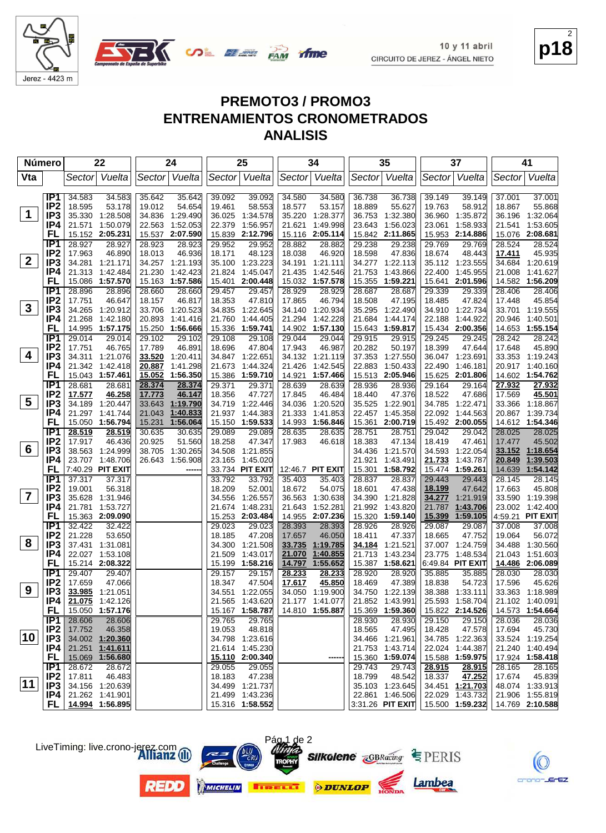



| Vuelta<br>Sector Vuelta<br>Sector Vuelta<br>Sector Vuelta<br>Vuelta<br>Vta<br>Sector Vuelta<br>Sector Vuelta<br>Sector<br>Sector<br>IP <sub>1</sub><br>39.092<br>39.092<br>34.580<br>36.738<br>39.149<br>37.001<br>34.583<br>34.583<br>35.642<br>35.642<br>34.580<br>36.738<br>39.149<br>37.001<br>IP <sub>2</sub><br>58.553<br>18.595<br>53.178<br>19.012<br>54.654<br>19.461<br>18.577<br>53.157<br>18.889<br>55.627<br>19.763<br>58.912<br>18.867<br>55.868<br>$\mathbf 1$<br>IP <sub>3</sub><br>35.330 1:28.508<br>34.836 1:29.490<br>36.025<br>1.34.578<br>35.220<br>1:28.377<br>36.753<br>1:32.380<br>36.960 1:35.872<br>36.196<br>1:32.064<br>IP4<br>21.571 1:50.079<br>1:52.053<br>1:56.957<br>1:49.998<br>1:56.023<br>1:58.933<br>21.541 1:53.605<br>22.563<br>22.379<br>21.621<br>23.643<br>23.061<br>FL<br>15.152 2:05.231<br>15.537 2:07.590<br>15.839<br>2:12.796<br>15.116 2:05.114<br>15.842 2:11.865<br>15.953 2:14.886<br>15.076 2:08.681<br>IP <sub>1</sub><br>29.238<br>28.524<br>28.927<br>28.927<br>28.923<br>28.923<br>29.952<br>29.952<br>28.882<br>28.882<br>29.238<br>29.769<br>29.769<br>28.524<br>IP <sub>2</sub><br>48.123<br>18.674<br>45.935<br>17.963<br>46.890<br>18.013<br>46.936<br>18.171<br>18.038<br>46.920<br>18.598<br>47.836<br>48.443<br>17.411<br>$\mathbf{2}$<br>IP3<br>34.281 1:21.171<br>34.257 1:21.193<br>35.100<br>1:23.223<br>34.191 1:21.111<br>34.277 1:22.113<br>35.112 1:23.555<br>34.684<br>1:20.619<br>IP4<br>21.313<br>1:42.484<br>21.230<br>1:42.423<br>21.824<br>1:45.047<br>21.435<br>1:42.546<br>21.753<br>1:43.866<br>22.400 1:45.955<br>21.008<br>1:41.627<br>FL<br>15.086<br>1:57.570<br>15.163 1:57.586<br>2:00.448<br>15.032 1:57.578<br>15.355<br>1:59.221<br>15.641 2:01.596<br>14.582 1:56.209<br>15.401<br>IP1<br>28.929<br>28.896<br>28.896<br>28.660<br>28.660<br>29.457<br>29.457<br>28.929<br>28.687<br>28.687<br>29.339<br>29.339<br>28.406<br>28.406<br>IP <sub>2</sub><br>46.817<br>47.810<br>18.485<br>47.824<br>45.854<br>17.751<br>46.647<br>18.157<br>18.353<br>17.865<br>46.794<br>18.508<br>47.195<br>17.448<br>$3\phantom{a}$<br>IP3<br>34.265 1:20.912<br>33.706<br>1:20.523<br>34.835<br>1.22.645<br>34.140 1:20.934<br>35.295 1:22.490<br>34.910 1:22.734<br>33.701 1:19.555<br>IP4<br>21.268<br>1:42.180<br>20.893<br>1:41.416<br>21.760<br>1:44.405<br>21.294<br>1:42.228<br>21.684<br>1:44.174<br>22.188<br>1:44.922<br>20.946<br>1:40.501<br>FL<br>14.995 1:57.175<br>15.250<br>1:56.666<br>15.336<br>1:59.741<br>14.902<br>1:57.130<br>15.643<br>1:59.817<br>15.434 2:00.356<br>14.653 1:55.154<br>IP <sub>1</sub><br>29.014<br>29.014<br>29.102<br>29.102<br>29.108<br>29.108<br>29.044<br>29.044<br>29.915<br>29.915<br>29.245<br>29.245<br>28.242<br>28.242<br>IP <sub>2</sub><br>46.891<br>17.751<br>46.765<br>17.789<br>18.696<br>47.804<br>17.943<br>46.987<br>20.282<br>50.197<br>18.399<br>47.644<br>17.648<br>45.890<br>4<br>IP3<br>34.311 1:21.076<br>37.353 1:27.550<br>33.520<br>1:20.411<br>34.847 1:22.651<br>34.132 1:21.119<br>36.047 1:23.691<br>33.353 1:19.243<br>IP4<br>21.342 1:42.418<br>20.887<br>1:41.298<br>21.673<br>1:44.324<br>21.426<br>1:42.545<br>22.883 1:50.433<br>22.490<br>1:46.181<br>20.917 1:40.160<br>1:56.350<br>FL<br>15.043 1:57.461<br>15.052<br>15.386<br>1:59.710<br>14.921<br>1:57.466<br>15.513 2:05.946<br>15.625 2:01.806<br>14.602 1:54.762<br>IP <sub>1</sub><br>28.374<br>27.932<br>28.681<br>28.681<br>28.374<br>29.371<br>29.371<br>28.639<br>28.639<br>28.936<br>29.164<br>29.164<br>27.932<br>28.936<br>IP <sub>2</sub><br>46.147<br>45.501<br>17.577<br>46.258<br>17.773<br>18.356<br>47.727<br>17.845<br>46.484<br>18.440<br>47.376<br>18.522<br>47.686<br>17.569<br>$5\overline{)}$<br>IP <sub>3</sub><br>34.189 1:20.447<br>1:19.790<br>33.643<br>34.719<br>1:22.446<br>34.036<br>1:20.520<br>35.525<br>1:22.901<br>34.785 1:22.471<br>33.366 1:18.867<br>IP4<br>1:40.833<br>21.333<br>1:45.358<br>21.297 1:41.744<br>21.043<br>21.937<br>1:44.383<br>1:41.853<br>22.457<br>22.092 1:44.563<br>20.867 1:39.734<br>FL<br>1:56.064<br>15.492 2:00.055<br>15.050 1:56.794<br>15.231<br>15.150 1:59.533<br>14.993 1:56.846<br>15.361<br>2:00.719<br>14.612 1:54.346 |
|------------------------------------------------------------------------------------------------------------------------------------------------------------------------------------------------------------------------------------------------------------------------------------------------------------------------------------------------------------------------------------------------------------------------------------------------------------------------------------------------------------------------------------------------------------------------------------------------------------------------------------------------------------------------------------------------------------------------------------------------------------------------------------------------------------------------------------------------------------------------------------------------------------------------------------------------------------------------------------------------------------------------------------------------------------------------------------------------------------------------------------------------------------------------------------------------------------------------------------------------------------------------------------------------------------------------------------------------------------------------------------------------------------------------------------------------------------------------------------------------------------------------------------------------------------------------------------------------------------------------------------------------------------------------------------------------------------------------------------------------------------------------------------------------------------------------------------------------------------------------------------------------------------------------------------------------------------------------------------------------------------------------------------------------------------------------------------------------------------------------------------------------------------------------------------------------------------------------------------------------------------------------------------------------------------------------------------------------------------------------------------------------------------------------------------------------------------------------------------------------------------------------------------------------------------------------------------------------------------------------------------------------------------------------------------------------------------------------------------------------------------------------------------------------------------------------------------------------------------------------------------------------------------------------------------------------------------------------------------------------------------------------------------------------------------------------------------------------------------------------------------------------------------------------------------------------------------------------------------------------------------------------------------------------------------------------------------------------------------------------------------------------------------------------------------------------------------------------------------------------------------------------------------------------------------------------------------------------------------------------------------------------------------------------------------------------------------------------------------------------------------------------------------------------------------------------------------------------------------------------------------------------------------------------------------------------------------------------------------------------------------------------------------------------------------------------------------------------------------------------------------------------------------------------------------------------------------------------|
|                                                                                                                                                                                                                                                                                                                                                                                                                                                                                                                                                                                                                                                                                                                                                                                                                                                                                                                                                                                                                                                                                                                                                                                                                                                                                                                                                                                                                                                                                                                                                                                                                                                                                                                                                                                                                                                                                                                                                                                                                                                                                                                                                                                                                                                                                                                                                                                                                                                                                                                                                                                                                                                                                                                                                                                                                                                                                                                                                                                                                                                                                                                                                                                                                                                                                                                                                                                                                                                                                                                                                                                                                                                                                                                                                                                                                                                                                                                                                                                                                                                                                                                                                                                                                        |
|                                                                                                                                                                                                                                                                                                                                                                                                                                                                                                                                                                                                                                                                                                                                                                                                                                                                                                                                                                                                                                                                                                                                                                                                                                                                                                                                                                                                                                                                                                                                                                                                                                                                                                                                                                                                                                                                                                                                                                                                                                                                                                                                                                                                                                                                                                                                                                                                                                                                                                                                                                                                                                                                                                                                                                                                                                                                                                                                                                                                                                                                                                                                                                                                                                                                                                                                                                                                                                                                                                                                                                                                                                                                                                                                                                                                                                                                                                                                                                                                                                                                                                                                                                                                                        |
|                                                                                                                                                                                                                                                                                                                                                                                                                                                                                                                                                                                                                                                                                                                                                                                                                                                                                                                                                                                                                                                                                                                                                                                                                                                                                                                                                                                                                                                                                                                                                                                                                                                                                                                                                                                                                                                                                                                                                                                                                                                                                                                                                                                                                                                                                                                                                                                                                                                                                                                                                                                                                                                                                                                                                                                                                                                                                                                                                                                                                                                                                                                                                                                                                                                                                                                                                                                                                                                                                                                                                                                                                                                                                                                                                                                                                                                                                                                                                                                                                                                                                                                                                                                                                        |
|                                                                                                                                                                                                                                                                                                                                                                                                                                                                                                                                                                                                                                                                                                                                                                                                                                                                                                                                                                                                                                                                                                                                                                                                                                                                                                                                                                                                                                                                                                                                                                                                                                                                                                                                                                                                                                                                                                                                                                                                                                                                                                                                                                                                                                                                                                                                                                                                                                                                                                                                                                                                                                                                                                                                                                                                                                                                                                                                                                                                                                                                                                                                                                                                                                                                                                                                                                                                                                                                                                                                                                                                                                                                                                                                                                                                                                                                                                                                                                                                                                                                                                                                                                                                                        |
|                                                                                                                                                                                                                                                                                                                                                                                                                                                                                                                                                                                                                                                                                                                                                                                                                                                                                                                                                                                                                                                                                                                                                                                                                                                                                                                                                                                                                                                                                                                                                                                                                                                                                                                                                                                                                                                                                                                                                                                                                                                                                                                                                                                                                                                                                                                                                                                                                                                                                                                                                                                                                                                                                                                                                                                                                                                                                                                                                                                                                                                                                                                                                                                                                                                                                                                                                                                                                                                                                                                                                                                                                                                                                                                                                                                                                                                                                                                                                                                                                                                                                                                                                                                                                        |
|                                                                                                                                                                                                                                                                                                                                                                                                                                                                                                                                                                                                                                                                                                                                                                                                                                                                                                                                                                                                                                                                                                                                                                                                                                                                                                                                                                                                                                                                                                                                                                                                                                                                                                                                                                                                                                                                                                                                                                                                                                                                                                                                                                                                                                                                                                                                                                                                                                                                                                                                                                                                                                                                                                                                                                                                                                                                                                                                                                                                                                                                                                                                                                                                                                                                                                                                                                                                                                                                                                                                                                                                                                                                                                                                                                                                                                                                                                                                                                                                                                                                                                                                                                                                                        |
|                                                                                                                                                                                                                                                                                                                                                                                                                                                                                                                                                                                                                                                                                                                                                                                                                                                                                                                                                                                                                                                                                                                                                                                                                                                                                                                                                                                                                                                                                                                                                                                                                                                                                                                                                                                                                                                                                                                                                                                                                                                                                                                                                                                                                                                                                                                                                                                                                                                                                                                                                                                                                                                                                                                                                                                                                                                                                                                                                                                                                                                                                                                                                                                                                                                                                                                                                                                                                                                                                                                                                                                                                                                                                                                                                                                                                                                                                                                                                                                                                                                                                                                                                                                                                        |
|                                                                                                                                                                                                                                                                                                                                                                                                                                                                                                                                                                                                                                                                                                                                                                                                                                                                                                                                                                                                                                                                                                                                                                                                                                                                                                                                                                                                                                                                                                                                                                                                                                                                                                                                                                                                                                                                                                                                                                                                                                                                                                                                                                                                                                                                                                                                                                                                                                                                                                                                                                                                                                                                                                                                                                                                                                                                                                                                                                                                                                                                                                                                                                                                                                                                                                                                                                                                                                                                                                                                                                                                                                                                                                                                                                                                                                                                                                                                                                                                                                                                                                                                                                                                                        |
|                                                                                                                                                                                                                                                                                                                                                                                                                                                                                                                                                                                                                                                                                                                                                                                                                                                                                                                                                                                                                                                                                                                                                                                                                                                                                                                                                                                                                                                                                                                                                                                                                                                                                                                                                                                                                                                                                                                                                                                                                                                                                                                                                                                                                                                                                                                                                                                                                                                                                                                                                                                                                                                                                                                                                                                                                                                                                                                                                                                                                                                                                                                                                                                                                                                                                                                                                                                                                                                                                                                                                                                                                                                                                                                                                                                                                                                                                                                                                                                                                                                                                                                                                                                                                        |
|                                                                                                                                                                                                                                                                                                                                                                                                                                                                                                                                                                                                                                                                                                                                                                                                                                                                                                                                                                                                                                                                                                                                                                                                                                                                                                                                                                                                                                                                                                                                                                                                                                                                                                                                                                                                                                                                                                                                                                                                                                                                                                                                                                                                                                                                                                                                                                                                                                                                                                                                                                                                                                                                                                                                                                                                                                                                                                                                                                                                                                                                                                                                                                                                                                                                                                                                                                                                                                                                                                                                                                                                                                                                                                                                                                                                                                                                                                                                                                                                                                                                                                                                                                                                                        |
|                                                                                                                                                                                                                                                                                                                                                                                                                                                                                                                                                                                                                                                                                                                                                                                                                                                                                                                                                                                                                                                                                                                                                                                                                                                                                                                                                                                                                                                                                                                                                                                                                                                                                                                                                                                                                                                                                                                                                                                                                                                                                                                                                                                                                                                                                                                                                                                                                                                                                                                                                                                                                                                                                                                                                                                                                                                                                                                                                                                                                                                                                                                                                                                                                                                                                                                                                                                                                                                                                                                                                                                                                                                                                                                                                                                                                                                                                                                                                                                                                                                                                                                                                                                                                        |
|                                                                                                                                                                                                                                                                                                                                                                                                                                                                                                                                                                                                                                                                                                                                                                                                                                                                                                                                                                                                                                                                                                                                                                                                                                                                                                                                                                                                                                                                                                                                                                                                                                                                                                                                                                                                                                                                                                                                                                                                                                                                                                                                                                                                                                                                                                                                                                                                                                                                                                                                                                                                                                                                                                                                                                                                                                                                                                                                                                                                                                                                                                                                                                                                                                                                                                                                                                                                                                                                                                                                                                                                                                                                                                                                                                                                                                                                                                                                                                                                                                                                                                                                                                                                                        |
|                                                                                                                                                                                                                                                                                                                                                                                                                                                                                                                                                                                                                                                                                                                                                                                                                                                                                                                                                                                                                                                                                                                                                                                                                                                                                                                                                                                                                                                                                                                                                                                                                                                                                                                                                                                                                                                                                                                                                                                                                                                                                                                                                                                                                                                                                                                                                                                                                                                                                                                                                                                                                                                                                                                                                                                                                                                                                                                                                                                                                                                                                                                                                                                                                                                                                                                                                                                                                                                                                                                                                                                                                                                                                                                                                                                                                                                                                                                                                                                                                                                                                                                                                                                                                        |
|                                                                                                                                                                                                                                                                                                                                                                                                                                                                                                                                                                                                                                                                                                                                                                                                                                                                                                                                                                                                                                                                                                                                                                                                                                                                                                                                                                                                                                                                                                                                                                                                                                                                                                                                                                                                                                                                                                                                                                                                                                                                                                                                                                                                                                                                                                                                                                                                                                                                                                                                                                                                                                                                                                                                                                                                                                                                                                                                                                                                                                                                                                                                                                                                                                                                                                                                                                                                                                                                                                                                                                                                                                                                                                                                                                                                                                                                                                                                                                                                                                                                                                                                                                                                                        |
|                                                                                                                                                                                                                                                                                                                                                                                                                                                                                                                                                                                                                                                                                                                                                                                                                                                                                                                                                                                                                                                                                                                                                                                                                                                                                                                                                                                                                                                                                                                                                                                                                                                                                                                                                                                                                                                                                                                                                                                                                                                                                                                                                                                                                                                                                                                                                                                                                                                                                                                                                                                                                                                                                                                                                                                                                                                                                                                                                                                                                                                                                                                                                                                                                                                                                                                                                                                                                                                                                                                                                                                                                                                                                                                                                                                                                                                                                                                                                                                                                                                                                                                                                                                                                        |
|                                                                                                                                                                                                                                                                                                                                                                                                                                                                                                                                                                                                                                                                                                                                                                                                                                                                                                                                                                                                                                                                                                                                                                                                                                                                                                                                                                                                                                                                                                                                                                                                                                                                                                                                                                                                                                                                                                                                                                                                                                                                                                                                                                                                                                                                                                                                                                                                                                                                                                                                                                                                                                                                                                                                                                                                                                                                                                                                                                                                                                                                                                                                                                                                                                                                                                                                                                                                                                                                                                                                                                                                                                                                                                                                                                                                                                                                                                                                                                                                                                                                                                                                                                                                                        |
|                                                                                                                                                                                                                                                                                                                                                                                                                                                                                                                                                                                                                                                                                                                                                                                                                                                                                                                                                                                                                                                                                                                                                                                                                                                                                                                                                                                                                                                                                                                                                                                                                                                                                                                                                                                                                                                                                                                                                                                                                                                                                                                                                                                                                                                                                                                                                                                                                                                                                                                                                                                                                                                                                                                                                                                                                                                                                                                                                                                                                                                                                                                                                                                                                                                                                                                                                                                                                                                                                                                                                                                                                                                                                                                                                                                                                                                                                                                                                                                                                                                                                                                                                                                                                        |
|                                                                                                                                                                                                                                                                                                                                                                                                                                                                                                                                                                                                                                                                                                                                                                                                                                                                                                                                                                                                                                                                                                                                                                                                                                                                                                                                                                                                                                                                                                                                                                                                                                                                                                                                                                                                                                                                                                                                                                                                                                                                                                                                                                                                                                                                                                                                                                                                                                                                                                                                                                                                                                                                                                                                                                                                                                                                                                                                                                                                                                                                                                                                                                                                                                                                                                                                                                                                                                                                                                                                                                                                                                                                                                                                                                                                                                                                                                                                                                                                                                                                                                                                                                                                                        |
|                                                                                                                                                                                                                                                                                                                                                                                                                                                                                                                                                                                                                                                                                                                                                                                                                                                                                                                                                                                                                                                                                                                                                                                                                                                                                                                                                                                                                                                                                                                                                                                                                                                                                                                                                                                                                                                                                                                                                                                                                                                                                                                                                                                                                                                                                                                                                                                                                                                                                                                                                                                                                                                                                                                                                                                                                                                                                                                                                                                                                                                                                                                                                                                                                                                                                                                                                                                                                                                                                                                                                                                                                                                                                                                                                                                                                                                                                                                                                                                                                                                                                                                                                                                                                        |
|                                                                                                                                                                                                                                                                                                                                                                                                                                                                                                                                                                                                                                                                                                                                                                                                                                                                                                                                                                                                                                                                                                                                                                                                                                                                                                                                                                                                                                                                                                                                                                                                                                                                                                                                                                                                                                                                                                                                                                                                                                                                                                                                                                                                                                                                                                                                                                                                                                                                                                                                                                                                                                                                                                                                                                                                                                                                                                                                                                                                                                                                                                                                                                                                                                                                                                                                                                                                                                                                                                                                                                                                                                                                                                                                                                                                                                                                                                                                                                                                                                                                                                                                                                                                                        |
|                                                                                                                                                                                                                                                                                                                                                                                                                                                                                                                                                                                                                                                                                                                                                                                                                                                                                                                                                                                                                                                                                                                                                                                                                                                                                                                                                                                                                                                                                                                                                                                                                                                                                                                                                                                                                                                                                                                                                                                                                                                                                                                                                                                                                                                                                                                                                                                                                                                                                                                                                                                                                                                                                                                                                                                                                                                                                                                                                                                                                                                                                                                                                                                                                                                                                                                                                                                                                                                                                                                                                                                                                                                                                                                                                                                                                                                                                                                                                                                                                                                                                                                                                                                                                        |
|                                                                                                                                                                                                                                                                                                                                                                                                                                                                                                                                                                                                                                                                                                                                                                                                                                                                                                                                                                                                                                                                                                                                                                                                                                                                                                                                                                                                                                                                                                                                                                                                                                                                                                                                                                                                                                                                                                                                                                                                                                                                                                                                                                                                                                                                                                                                                                                                                                                                                                                                                                                                                                                                                                                                                                                                                                                                                                                                                                                                                                                                                                                                                                                                                                                                                                                                                                                                                                                                                                                                                                                                                                                                                                                                                                                                                                                                                                                                                                                                                                                                                                                                                                                                                        |
|                                                                                                                                                                                                                                                                                                                                                                                                                                                                                                                                                                                                                                                                                                                                                                                                                                                                                                                                                                                                                                                                                                                                                                                                                                                                                                                                                                                                                                                                                                                                                                                                                                                                                                                                                                                                                                                                                                                                                                                                                                                                                                                                                                                                                                                                                                                                                                                                                                                                                                                                                                                                                                                                                                                                                                                                                                                                                                                                                                                                                                                                                                                                                                                                                                                                                                                                                                                                                                                                                                                                                                                                                                                                                                                                                                                                                                                                                                                                                                                                                                                                                                                                                                                                                        |
|                                                                                                                                                                                                                                                                                                                                                                                                                                                                                                                                                                                                                                                                                                                                                                                                                                                                                                                                                                                                                                                                                                                                                                                                                                                                                                                                                                                                                                                                                                                                                                                                                                                                                                                                                                                                                                                                                                                                                                                                                                                                                                                                                                                                                                                                                                                                                                                                                                                                                                                                                                                                                                                                                                                                                                                                                                                                                                                                                                                                                                                                                                                                                                                                                                                                                                                                                                                                                                                                                                                                                                                                                                                                                                                                                                                                                                                                                                                                                                                                                                                                                                                                                                                                                        |
|                                                                                                                                                                                                                                                                                                                                                                                                                                                                                                                                                                                                                                                                                                                                                                                                                                                                                                                                                                                                                                                                                                                                                                                                                                                                                                                                                                                                                                                                                                                                                                                                                                                                                                                                                                                                                                                                                                                                                                                                                                                                                                                                                                                                                                                                                                                                                                                                                                                                                                                                                                                                                                                                                                                                                                                                                                                                                                                                                                                                                                                                                                                                                                                                                                                                                                                                                                                                                                                                                                                                                                                                                                                                                                                                                                                                                                                                                                                                                                                                                                                                                                                                                                                                                        |
| IP <sub>1</sub><br>28.025<br>28.519<br>30.635<br>30.635<br>29.089<br>29.089<br>28.635<br>28.635<br>28.751<br>28.751<br>29.042<br>29.042<br>28.025<br>28.519<br>46.436<br>17.477<br>20.925<br>51.560<br>47.461                                                                                                                                                                                                                                                                                                                                                                                                                                                                                                                                                                                                                                                                                                                                                                                                                                                                                                                                                                                                                                                                                                                                                                                                                                                                                                                                                                                                                                                                                                                                                                                                                                                                                                                                                                                                                                                                                                                                                                                                                                                                                                                                                                                                                                                                                                                                                                                                                                                                                                                                                                                                                                                                                                                                                                                                                                                                                                                                                                                                                                                                                                                                                                                                                                                                                                                                                                                                                                                                                                                                                                                                                                                                                                                                                                                                                                                                                                                                                                                                          |
| IP <sub>2</sub><br>17.917<br>18.258<br>47.347<br>18.383<br>47.134<br>18.419<br>45.502<br>17.983<br>46.618<br>6<br>IP <sub>3</sub><br>38.563 1:24.999<br>1:30.265<br>34.593<br>33.152 1:18.654<br>38.705<br>34.508<br>1:21.855<br>34.436<br>1:21.570<br>1:22.054                                                                                                                                                                                                                                                                                                                                                                                                                                                                                                                                                                                                                                                                                                                                                                                                                                                                                                                                                                                                                                                                                                                                                                                                                                                                                                                                                                                                                                                                                                                                                                                                                                                                                                                                                                                                                                                                                                                                                                                                                                                                                                                                                                                                                                                                                                                                                                                                                                                                                                                                                                                                                                                                                                                                                                                                                                                                                                                                                                                                                                                                                                                                                                                                                                                                                                                                                                                                                                                                                                                                                                                                                                                                                                                                                                                                                                                                                                                                                        |
| IP4<br>23.707 1:48.706<br>26.643 1:56.908<br>23.165<br>1:45.020<br>21.921<br>1:43.491<br>21.733<br>1:43.787<br>20.849<br>1:39.503                                                                                                                                                                                                                                                                                                                                                                                                                                                                                                                                                                                                                                                                                                                                                                                                                                                                                                                                                                                                                                                                                                                                                                                                                                                                                                                                                                                                                                                                                                                                                                                                                                                                                                                                                                                                                                                                                                                                                                                                                                                                                                                                                                                                                                                                                                                                                                                                                                                                                                                                                                                                                                                                                                                                                                                                                                                                                                                                                                                                                                                                                                                                                                                                                                                                                                                                                                                                                                                                                                                                                                                                                                                                                                                                                                                                                                                                                                                                                                                                                                                                                      |
| FL<br>7:40.29 PIT EXIT<br>33.734 PIT EXIT<br>12:46.7 PIT EXIT<br>15.301 1:58.792<br>15.474<br>1:59.261<br>14.639<br>1:54.142<br>-----                                                                                                                                                                                                                                                                                                                                                                                                                                                                                                                                                                                                                                                                                                                                                                                                                                                                                                                                                                                                                                                                                                                                                                                                                                                                                                                                                                                                                                                                                                                                                                                                                                                                                                                                                                                                                                                                                                                                                                                                                                                                                                                                                                                                                                                                                                                                                                                                                                                                                                                                                                                                                                                                                                                                                                                                                                                                                                                                                                                                                                                                                                                                                                                                                                                                                                                                                                                                                                                                                                                                                                                                                                                                                                                                                                                                                                                                                                                                                                                                                                                                                  |
| $\overline{IP1}$<br>37.317<br>37.317<br>33.792<br>33.792<br>35.403<br>35.403<br>28.837<br>28.837<br>29.443<br>29.443<br>28.145<br>28.145                                                                                                                                                                                                                                                                                                                                                                                                                                                                                                                                                                                                                                                                                                                                                                                                                                                                                                                                                                                                                                                                                                                                                                                                                                                                                                                                                                                                                                                                                                                                                                                                                                                                                                                                                                                                                                                                                                                                                                                                                                                                                                                                                                                                                                                                                                                                                                                                                                                                                                                                                                                                                                                                                                                                                                                                                                                                                                                                                                                                                                                                                                                                                                                                                                                                                                                                                                                                                                                                                                                                                                                                                                                                                                                                                                                                                                                                                                                                                                                                                                                                               |
| IP <sub>2</sub><br>17.663<br>19.001<br>56.318<br>18.209<br>52.001<br>18.672<br>54.075<br>18.601<br>47.438<br>18.199<br>47.642<br>45.808                                                                                                                                                                                                                                                                                                                                                                                                                                                                                                                                                                                                                                                                                                                                                                                                                                                                                                                                                                                                                                                                                                                                                                                                                                                                                                                                                                                                                                                                                                                                                                                                                                                                                                                                                                                                                                                                                                                                                                                                                                                                                                                                                                                                                                                                                                                                                                                                                                                                                                                                                                                                                                                                                                                                                                                                                                                                                                                                                                                                                                                                                                                                                                                                                                                                                                                                                                                                                                                                                                                                                                                                                                                                                                                                                                                                                                                                                                                                                                                                                                                                                |
| $\overline{7}$<br>IP <sub>3</sub><br>35.628 1:31.946<br>1:26.557<br>1:30.638<br>34.390 1:21.828<br>34.277<br>1:21.919<br>33.590 1:19.398<br>34.556<br>36.563                                                                                                                                                                                                                                                                                                                                                                                                                                                                                                                                                                                                                                                                                                                                                                                                                                                                                                                                                                                                                                                                                                                                                                                                                                                                                                                                                                                                                                                                                                                                                                                                                                                                                                                                                                                                                                                                                                                                                                                                                                                                                                                                                                                                                                                                                                                                                                                                                                                                                                                                                                                                                                                                                                                                                                                                                                                                                                                                                                                                                                                                                                                                                                                                                                                                                                                                                                                                                                                                                                                                                                                                                                                                                                                                                                                                                                                                                                                                                                                                                                                           |
| IP4<br>21.781 1:53.727<br>1:48.231<br>21.643<br>1:52.281<br>21.992 1:43.820<br>1:43.706<br>23.002 1:42.400<br>21.674<br>21.787                                                                                                                                                                                                                                                                                                                                                                                                                                                                                                                                                                                                                                                                                                                                                                                                                                                                                                                                                                                                                                                                                                                                                                                                                                                                                                                                                                                                                                                                                                                                                                                                                                                                                                                                                                                                                                                                                                                                                                                                                                                                                                                                                                                                                                                                                                                                                                                                                                                                                                                                                                                                                                                                                                                                                                                                                                                                                                                                                                                                                                                                                                                                                                                                                                                                                                                                                                                                                                                                                                                                                                                                                                                                                                                                                                                                                                                                                                                                                                                                                                                                                         |
| FL<br>15.363 2:09.090<br>15.253 2:03.484<br>14.955 2:07.236<br>15.320<br>1:59.140<br>15.399<br>4:59.21 PIT EXIT<br>1:59.105                                                                                                                                                                                                                                                                                                                                                                                                                                                                                                                                                                                                                                                                                                                                                                                                                                                                                                                                                                                                                                                                                                                                                                                                                                                                                                                                                                                                                                                                                                                                                                                                                                                                                                                                                                                                                                                                                                                                                                                                                                                                                                                                                                                                                                                                                                                                                                                                                                                                                                                                                                                                                                                                                                                                                                                                                                                                                                                                                                                                                                                                                                                                                                                                                                                                                                                                                                                                                                                                                                                                                                                                                                                                                                                                                                                                                                                                                                                                                                                                                                                                                            |
| IP1<br>32.422<br>32.422<br>29.023<br>29.023<br>28.393<br>28.393<br>28.926<br>28.926<br>29.087<br>29.087<br>37.008<br>37.008                                                                                                                                                                                                                                                                                                                                                                                                                                                                                                                                                                                                                                                                                                                                                                                                                                                                                                                                                                                                                                                                                                                                                                                                                                                                                                                                                                                                                                                                                                                                                                                                                                                                                                                                                                                                                                                                                                                                                                                                                                                                                                                                                                                                                                                                                                                                                                                                                                                                                                                                                                                                                                                                                                                                                                                                                                                                                                                                                                                                                                                                                                                                                                                                                                                                                                                                                                                                                                                                                                                                                                                                                                                                                                                                                                                                                                                                                                                                                                                                                                                                                            |
| IP <sub>2</sub><br>21.228<br>18.411<br>19.064<br>53.650<br>18.185<br>47.208<br>17.657<br>46.050<br>47.337<br>18.665<br>47.752<br>56.072<br>8                                                                                                                                                                                                                                                                                                                                                                                                                                                                                                                                                                                                                                                                                                                                                                                                                                                                                                                                                                                                                                                                                                                                                                                                                                                                                                                                                                                                                                                                                                                                                                                                                                                                                                                                                                                                                                                                                                                                                                                                                                                                                                                                                                                                                                                                                                                                                                                                                                                                                                                                                                                                                                                                                                                                                                                                                                                                                                                                                                                                                                                                                                                                                                                                                                                                                                                                                                                                                                                                                                                                                                                                                                                                                                                                                                                                                                                                                                                                                                                                                                                                           |
| IP <sub>3</sub><br>37.431 1:31.081<br>1:21.508<br>1:21.521<br>37.007 1:24.759<br>34.488<br>1:30.560<br>34.300<br><u>33.735 1:19.785</u><br><u>34.184</u>                                                                                                                                                                                                                                                                                                                                                                                                                                                                                                                                                                                                                                                                                                                                                                                                                                                                                                                                                                                                                                                                                                                                                                                                                                                                                                                                                                                                                                                                                                                                                                                                                                                                                                                                                                                                                                                                                                                                                                                                                                                                                                                                                                                                                                                                                                                                                                                                                                                                                                                                                                                                                                                                                                                                                                                                                                                                                                                                                                                                                                                                                                                                                                                                                                                                                                                                                                                                                                                                                                                                                                                                                                                                                                                                                                                                                                                                                                                                                                                                                                                               |
| IP4<br>22.027 1:53.108<br>21.509<br>1:43.017<br>21.070<br>21.713<br>1:43.234<br>23.775 1:48.534<br>21.043 1:51.603<br>1:40.855<br>FL<br>15.214 2:08.322<br>1:55.652<br>15.199 1:58.216<br><u>14.797</u><br>15.387 1:58.621<br>6:49.84 PIT EXIT<br>14.486 2:06.089                                                                                                                                                                                                                                                                                                                                                                                                                                                                                                                                                                                                                                                                                                                                                                                                                                                                                                                                                                                                                                                                                                                                                                                                                                                                                                                                                                                                                                                                                                                                                                                                                                                                                                                                                                                                                                                                                                                                                                                                                                                                                                                                                                                                                                                                                                                                                                                                                                                                                                                                                                                                                                                                                                                                                                                                                                                                                                                                                                                                                                                                                                                                                                                                                                                                                                                                                                                                                                                                                                                                                                                                                                                                                                                                                                                                                                                                                                                                                      |
| IP <sub>1</sub><br>29.407<br>29.407<br>28.233<br>28.920<br>28.030<br>29.157<br>29.157<br>28.233<br>28.920<br>35.885<br>35.885<br>28.030                                                                                                                                                                                                                                                                                                                                                                                                                                                                                                                                                                                                                                                                                                                                                                                                                                                                                                                                                                                                                                                                                                                                                                                                                                                                                                                                                                                                                                                                                                                                                                                                                                                                                                                                                                                                                                                                                                                                                                                                                                                                                                                                                                                                                                                                                                                                                                                                                                                                                                                                                                                                                                                                                                                                                                                                                                                                                                                                                                                                                                                                                                                                                                                                                                                                                                                                                                                                                                                                                                                                                                                                                                                                                                                                                                                                                                                                                                                                                                                                                                                                                |
| 45.850<br>IP <sub>2</sub><br>17.617<br>18.469<br>17.596<br>17.659<br>47.066<br>18.347<br>47.504<br>47.389<br>18.838<br>54.723<br>45.626                                                                                                                                                                                                                                                                                                                                                                                                                                                                                                                                                                                                                                                                                                                                                                                                                                                                                                                                                                                                                                                                                                                                                                                                                                                                                                                                                                                                                                                                                                                                                                                                                                                                                                                                                                                                                                                                                                                                                                                                                                                                                                                                                                                                                                                                                                                                                                                                                                                                                                                                                                                                                                                                                                                                                                                                                                                                                                                                                                                                                                                                                                                                                                                                                                                                                                                                                                                                                                                                                                                                                                                                                                                                                                                                                                                                                                                                                                                                                                                                                                                                                |
| 9<br>IP <sub>3</sub><br>33.985 1:21.051<br>34.050 1:19.900<br>34.750 1:22.139<br>34.551 1:22.055<br>38.388 1:33.111<br>33.363 1:18.989                                                                                                                                                                                                                                                                                                                                                                                                                                                                                                                                                                                                                                                                                                                                                                                                                                                                                                                                                                                                                                                                                                                                                                                                                                                                                                                                                                                                                                                                                                                                                                                                                                                                                                                                                                                                                                                                                                                                                                                                                                                                                                                                                                                                                                                                                                                                                                                                                                                                                                                                                                                                                                                                                                                                                                                                                                                                                                                                                                                                                                                                                                                                                                                                                                                                                                                                                                                                                                                                                                                                                                                                                                                                                                                                                                                                                                                                                                                                                                                                                                                                                 |
| IP4<br>21.075 1:42.126<br>21.565 1:43.620<br>21.177 1:41.077<br>21.852 1:43.991<br>25.593 1:58.704<br>21.102 1:40.091                                                                                                                                                                                                                                                                                                                                                                                                                                                                                                                                                                                                                                                                                                                                                                                                                                                                                                                                                                                                                                                                                                                                                                                                                                                                                                                                                                                                                                                                                                                                                                                                                                                                                                                                                                                                                                                                                                                                                                                                                                                                                                                                                                                                                                                                                                                                                                                                                                                                                                                                                                                                                                                                                                                                                                                                                                                                                                                                                                                                                                                                                                                                                                                                                                                                                                                                                                                                                                                                                                                                                                                                                                                                                                                                                                                                                                                                                                                                                                                                                                                                                                  |
| FL<br>15.050 1:57.176<br>15.167 1:58.787<br>14.810 1:55.887<br>15.369 1:59.360<br>15.822 2:14.526<br>14.573 1:54.664                                                                                                                                                                                                                                                                                                                                                                                                                                                                                                                                                                                                                                                                                                                                                                                                                                                                                                                                                                                                                                                                                                                                                                                                                                                                                                                                                                                                                                                                                                                                                                                                                                                                                                                                                                                                                                                                                                                                                                                                                                                                                                                                                                                                                                                                                                                                                                                                                                                                                                                                                                                                                                                                                                                                                                                                                                                                                                                                                                                                                                                                                                                                                                                                                                                                                                                                                                                                                                                                                                                                                                                                                                                                                                                                                                                                                                                                                                                                                                                                                                                                                                   |
| 29.765<br>IP1<br>28.606<br>28.606<br>29.765<br>28.930<br>28.930<br>29.150<br>29.150<br>28.036<br>28.036                                                                                                                                                                                                                                                                                                                                                                                                                                                                                                                                                                                                                                                                                                                                                                                                                                                                                                                                                                                                                                                                                                                                                                                                                                                                                                                                                                                                                                                                                                                                                                                                                                                                                                                                                                                                                                                                                                                                                                                                                                                                                                                                                                                                                                                                                                                                                                                                                                                                                                                                                                                                                                                                                                                                                                                                                                                                                                                                                                                                                                                                                                                                                                                                                                                                                                                                                                                                                                                                                                                                                                                                                                                                                                                                                                                                                                                                                                                                                                                                                                                                                                                |
| IP <sub>2</sub><br>17.752<br>46.358<br>19.053<br>48.818<br>18.565<br>47.495<br>18.428<br>47.578<br>17.694<br>45.730                                                                                                                                                                                                                                                                                                                                                                                                                                                                                                                                                                                                                                                                                                                                                                                                                                                                                                                                                                                                                                                                                                                                                                                                                                                                                                                                                                                                                                                                                                                                                                                                                                                                                                                                                                                                                                                                                                                                                                                                                                                                                                                                                                                                                                                                                                                                                                                                                                                                                                                                                                                                                                                                                                                                                                                                                                                                                                                                                                                                                                                                                                                                                                                                                                                                                                                                                                                                                                                                                                                                                                                                                                                                                                                                                                                                                                                                                                                                                                                                                                                                                                    |
| 10<br>IP3<br>34.002 1:20.360<br>34.798 1:23.616<br>34.466 1:21.961<br>34.785 1:22.363<br>33.524 1:19.254                                                                                                                                                                                                                                                                                                                                                                                                                                                                                                                                                                                                                                                                                                                                                                                                                                                                                                                                                                                                                                                                                                                                                                                                                                                                                                                                                                                                                                                                                                                                                                                                                                                                                                                                                                                                                                                                                                                                                                                                                                                                                                                                                                                                                                                                                                                                                                                                                                                                                                                                                                                                                                                                                                                                                                                                                                                                                                                                                                                                                                                                                                                                                                                                                                                                                                                                                                                                                                                                                                                                                                                                                                                                                                                                                                                                                                                                                                                                                                                                                                                                                                               |
| P4 <br>21.251 1:41.611<br>21.753 1:43.714<br>22.024 1:44.387<br>21.240 1:40.494<br>21.614 1:45.230                                                                                                                                                                                                                                                                                                                                                                                                                                                                                                                                                                                                                                                                                                                                                                                                                                                                                                                                                                                                                                                                                                                                                                                                                                                                                                                                                                                                                                                                                                                                                                                                                                                                                                                                                                                                                                                                                                                                                                                                                                                                                                                                                                                                                                                                                                                                                                                                                                                                                                                                                                                                                                                                                                                                                                                                                                                                                                                                                                                                                                                                                                                                                                                                                                                                                                                                                                                                                                                                                                                                                                                                                                                                                                                                                                                                                                                                                                                                                                                                                                                                                                                     |
| FL.<br>15.069 1:56.680<br>15.110 2:00.340<br>15.360 1:59.074<br>15.588 1:59.975<br>17.924 1:58.418                                                                                                                                                                                                                                                                                                                                                                                                                                                                                                                                                                                                                                                                                                                                                                                                                                                                                                                                                                                                                                                                                                                                                                                                                                                                                                                                                                                                                                                                                                                                                                                                                                                                                                                                                                                                                                                                                                                                                                                                                                                                                                                                                                                                                                                                                                                                                                                                                                                                                                                                                                                                                                                                                                                                                                                                                                                                                                                                                                                                                                                                                                                                                                                                                                                                                                                                                                                                                                                                                                                                                                                                                                                                                                                                                                                                                                                                                                                                                                                                                                                                                                                     |
| 29.743<br>IP1<br>28.672<br>28.672<br>29.055<br>29.055<br>29.743<br>28.915<br>28.915<br>28.165<br>28.165<br>18.337                                                                                                                                                                                                                                                                                                                                                                                                                                                                                                                                                                                                                                                                                                                                                                                                                                                                                                                                                                                                                                                                                                                                                                                                                                                                                                                                                                                                                                                                                                                                                                                                                                                                                                                                                                                                                                                                                                                                                                                                                                                                                                                                                                                                                                                                                                                                                                                                                                                                                                                                                                                                                                                                                                                                                                                                                                                                                                                                                                                                                                                                                                                                                                                                                                                                                                                                                                                                                                                                                                                                                                                                                                                                                                                                                                                                                                                                                                                                                                                                                                                                                                      |
| IP <sub>2</sub><br>17.811<br>46.483<br>18.183<br>47.238<br>18.799<br>48.542<br>47.252<br>17.674<br>45.839<br>$ 11\rangle$<br>IP3<br>34.156 1:20.639<br>34.451 1:21.703<br>34.499 1:21.737<br>35.103 1:23.645<br>48.074 1:33.913                                                                                                                                                                                                                                                                                                                                                                                                                                                                                                                                                                                                                                                                                                                                                                                                                                                                                                                                                                                                                                                                                                                                                                                                                                                                                                                                                                                                                                                                                                                                                                                                                                                                                                                                                                                                                                                                                                                                                                                                                                                                                                                                                                                                                                                                                                                                                                                                                                                                                                                                                                                                                                                                                                                                                                                                                                                                                                                                                                                                                                                                                                                                                                                                                                                                                                                                                                                                                                                                                                                                                                                                                                                                                                                                                                                                                                                                                                                                                                                        |
| $IP4$   21.262 1:41.901<br>21.499 1:43.236<br>22.861 1:46.506<br>22.029 1:43.732<br>21.906 1:55.819                                                                                                                                                                                                                                                                                                                                                                                                                                                                                                                                                                                                                                                                                                                                                                                                                                                                                                                                                                                                                                                                                                                                                                                                                                                                                                                                                                                                                                                                                                                                                                                                                                                                                                                                                                                                                                                                                                                                                                                                                                                                                                                                                                                                                                                                                                                                                                                                                                                                                                                                                                                                                                                                                                                                                                                                                                                                                                                                                                                                                                                                                                                                                                                                                                                                                                                                                                                                                                                                                                                                                                                                                                                                                                                                                                                                                                                                                                                                                                                                                                                                                                                    |
| FL 14.994 1:56.895<br>15.316 1:58.552<br>3:31.26 PIT EXIT<br>15.500 1:59.232<br>14.769 2:10.588                                                                                                                                                                                                                                                                                                                                                                                                                                                                                                                                                                                                                                                                                                                                                                                                                                                                                                                                                                                                                                                                                                                                                                                                                                                                                                                                                                                                                                                                                                                                                                                                                                                                                                                                                                                                                                                                                                                                                                                                                                                                                                                                                                                                                                                                                                                                                                                                                                                                                                                                                                                                                                                                                                                                                                                                                                                                                                                                                                                                                                                                                                                                                                                                                                                                                                                                                                                                                                                                                                                                                                                                                                                                                                                                                                                                                                                                                                                                                                                                                                                                                                                        |













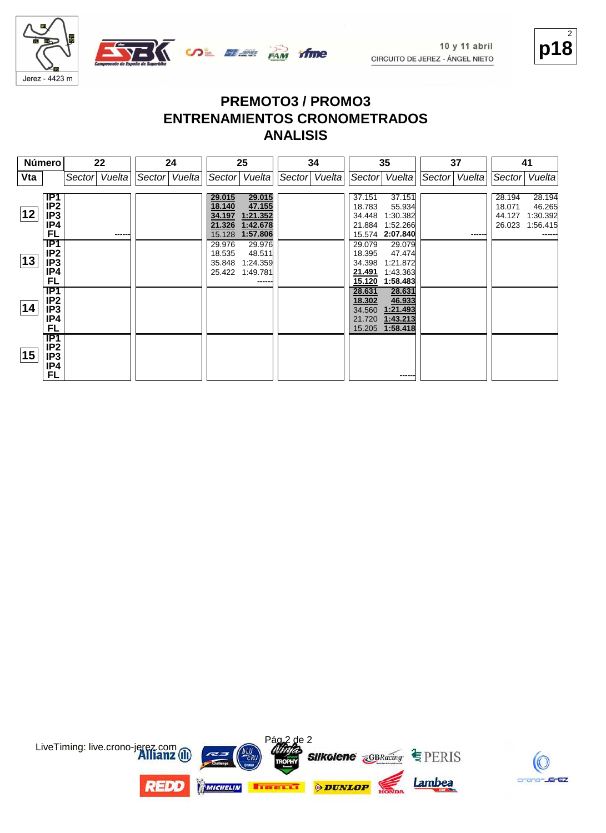



|     | <b>Número</b>                                                       |        | 22     | 24            |                                      | 25                                                          |               | 34 |                                                | 35                                                          |               | 37     |                                      | 41                                       |
|-----|---------------------------------------------------------------------|--------|--------|---------------|--------------------------------------|-------------------------------------------------------------|---------------|----|------------------------------------------------|-------------------------------------------------------------|---------------|--------|--------------------------------------|------------------------------------------|
| Vta |                                                                     | Sector | Vuelta | Sector Vuelta |                                      | Sector   Vuelta                                             | Sector Vuelta |    |                                                | Sector Vuelta                                               | Sector Vuelta |        |                                      | Sector   Vuelta                          |
| 12  | IP1<br>IP <sub>2</sub><br>IP3<br>IP4<br>FL                          |        | ------ |               | 29.015<br>18.140<br>34.197<br>15.128 | 29.015<br>47.155<br>1:21.352<br>21.326 1:42.678<br>1:57.806 |               |    | 37.151<br>18.783<br>34.448<br>21.884<br>15.574 | 37.151<br>55.934<br>1:30.382<br>1:52.266<br>2:07.840        |               | ------ | 28.194<br>18.071<br>44.127<br>26.023 | 28.194<br>46.265<br>1:30.392<br>1:56.415 |
| 13  | IP1<br>IP <sub>2</sub><br>IP3<br>IP4<br>FL                          |        |        |               | 29.976<br>18.535<br>35.848           | 29.976<br>48.511<br>1:24.359<br>25.422 1:49.781<br>------   |               |    | 29.079<br>18.395<br>34.398<br>21.491<br>15.120 | 29.079<br>47.474<br>1:21.872<br>1:43.363<br>1:58.483        |               |        |                                      |                                          |
| 14  | $\overline{IP1}$<br>IP <sub>2</sub><br>IP <sub>3</sub><br>IP4<br>FL |        |        |               |                                      |                                                             |               |    | 28.631<br>18.302<br>34.560<br>21.720           | 28.631<br>46.933<br>1:21.493<br>1:43.213<br>15.205 1:58.418 |               |        |                                      |                                          |
| 15  | <b>IP1</b><br>IP <sub>2</sub><br>IP3<br>IP4<br><b>FL</b>            |        |        |               |                                      |                                                             |               |    |                                                | ------                                                      |               |        |                                      |                                          |



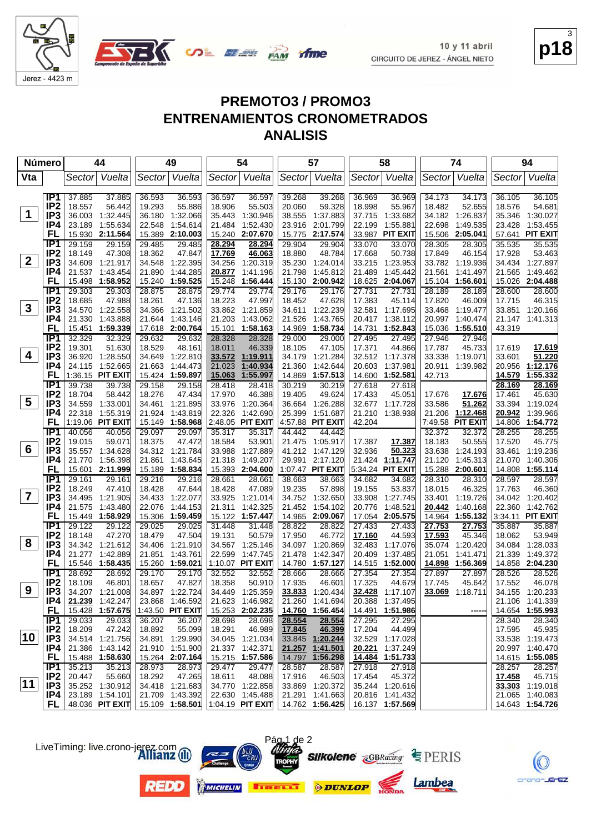



| <b>Número</b>           |                        | 44                                    | 49                                       | 54                                       | 57                                       | 58                                     | 74                                       | 94                                   |
|-------------------------|------------------------|---------------------------------------|------------------------------------------|------------------------------------------|------------------------------------------|----------------------------------------|------------------------------------------|--------------------------------------|
| Vta                     |                        | Vuelta<br>Sector                      | Vuelta<br>Sector                         | Sector Vuelta                            | Sector<br>Vuelta                         | Sector Vuelta                          | Vuelta<br>Sector                         | Sector Vuelta                        |
|                         | IP <sub>1</sub>        | 37.885<br>37.885                      | 36.593<br>36.593                         | 36.597<br>36.597                         | 39.268<br>39.268                         | 36.969<br>36.969                       | 34.173<br>34.173                         | 36.105<br>36.105                     |
|                         | IP <sub>2</sub>        | 18.557<br>56.442                      | 19.293<br>55.886                         | 55.503<br>18.906                         | 20.060<br>59.328                         | 18.998<br>55.967                       | 18.482<br>52.655                         | 18.576<br>54.681                     |
| $\mathbf 1$             | IP3                    | 1:32.445<br>36.003                    | 36.180<br>1:32.066                       | 35.443<br>1:30.946                       | 38.555<br>1:37.883                       | 37.715<br>1:33.682                     | 34.182 1:26.837                          | 35.346<br>1:30.027                   |
|                         | IP4                    | 1:55.634<br>23.189                    | 1:54.614<br>22.548                       | 1:52.430<br>21.484                       | 2:01.799<br>23.916                       | 1:55.881<br>22.199                     | 22.698<br>1:49.535                       | 1:53.455<br>23.428                   |
|                         | FL                     | 2:11.564<br>15.930                    | 2:10.003<br>15.389                       | 15.240<br>2:07.670                       | 2:17.574<br>15.775                       | 33.987 PIT EXIT                        | 2:05.041<br>15.506                       | 57.641<br><b>PIT EXIT</b>            |
|                         | IP <sub>1</sub>        | 29.159<br>29.159                      | 29.485<br>29.485                         | 28.294<br>28.294                         | 29.904<br>29.904                         | 33.070<br>33.070                       | 28.305<br>28.305                         | 35.535<br>35.535                     |
|                         | IP <sub>2</sub>        | 47.308<br>18.149                      | 18.362<br>47.847                         | 46.063<br>17.769                         | 48.784<br>18.880                         | 17.668<br>50.738                       | 17.849<br>46.154                         | 17.928<br>53.463                     |
| $\mathbf{2}$            | IP3                    | 34.609<br>1.21.917                    | 34.548<br>1:22.395                       | 34.256<br>1:20.319                       | 35.230<br>1:24.014                       | 33.215<br>1:23.953                     | 33.782 1:19.936                          | 34.434 1:27.897                      |
|                         | IP4                    | 21.537<br>1:43.454                    | 21.890<br>1:44.285                       | 20.877<br>1:41.196                       | 21.798<br>1:45.812                       | 21.489<br>1:45.442                     | 21.561<br>1:41.497                       | 21.565<br>1:49.462                   |
|                         | FL                     | 15.498<br>1:58.952                    | 1:59.525<br>15.240                       | 15.248<br>1:56.444                       | 2:00.942<br>15.130                       | 18.625<br>2:04.067                     | 15.104<br>1:56.601                       | 15.026 2:04.488                      |
|                         | IP1                    | 29.303<br>29.303                      | 28.875<br>28.875                         | 29.774<br>29.774                         | 29.176<br>29.176                         | 27.731<br>27.731                       | 28.189<br>28.189                         | 28.600<br>28.600                     |
|                         | IP <sub>2</sub>        | 18.685<br>47.988                      | 18.261<br>47.136                         | 18.223<br>47.997                         | 18.452<br>47.628                         | 17.383<br>45.114                       | 17.820<br>46.009                         | 17.715<br>46.315                     |
| $\mathbf{3}$            | IP3                    | 34.570 1:22.558                       | 1:21.502<br>34.366                       | 33.862 1:21.859                          | 34.611<br>1:22.239                       | 32.581<br>1:17.695                     | 33.468<br>1:19.477                       | 33.851 1:20.166                      |
|                         | IP4                    | 21.330<br>1:43.888                    | 1:43.146<br>21.644                       | 21.203<br>1:43.062                       | 21.526<br>1:43.765                       | 20.417<br>1:38.112                     | 20.997<br>1:40.474                       | 21.147 1:41.313                      |
|                         | FL                     | 15.451<br>1:59.339                    | 17.618 2:00.764                          | 1:58.163<br>15.101                       | 14.969<br>1:58.734                       | 14.731<br>1:52.843                     | 15.036<br>1:55.510                       | 43.319                               |
|                         | IP <sub>1</sub>        | 32.329<br>32.329                      | 29.632<br>29.632                         | 28.328<br>28.328                         | 29.000<br>29.000                         | 27.495<br>27.495                       | 27.946<br>27.946                         |                                      |
| 4                       | IP <sub>2</sub>        | 19.301<br>51.630                      | 18.529<br>48.161                         | 18.011<br>46.339                         | 18.105<br>47.105                         | 17.371<br>44.866                       | 17.787<br>45.733                         | 17.619<br>17.619                     |
|                         | IP3<br>IP4             | 36.920<br>1:28.550<br>24.115 1:52.665 | 34.649<br>1:22.810<br>21.663<br>1:44.473 | 1:19.911<br>33.572<br>21.023<br>1:40.934 | 1:21.284<br>34.179<br>21.360<br>1:42.644 | 32.512 1:17.378<br>20.603<br>1:37.981  | 33.338<br>1:19.071<br>20.911<br>1:39.982 | 51.220<br>33.601<br>20.956 1:12.176  |
|                         | FL                     | 1:36.15 PIT EXIT                      | 15.424 1:59.897                          | 1:55.997<br>15.063                       | 14.869<br>1:57.513                       | 14.600 1:52.581                        | 42.713                                   | 14.579<br>1:55.332                   |
|                         | IP <sub>1</sub>        | 39.738<br>39.738                      | 29.158<br>29.158                         | 28.418<br>28.418                         | 30.219<br>30.219                         | 27.618<br>27.618                       |                                          | 28.169<br>28.169                     |
|                         | IP <sub>2</sub>        | 18.704<br>58.442                      | 18.276<br>47.434                         | 17.970<br>46.388                         | 49.624<br>19.405                         | 17.433<br>45.051                       | 17.676<br>17.676                         | 17.461<br>45.630                     |
| $\overline{\mathbf{5}}$ | IP <sub>3</sub>        | 34.559<br>1:33.001                    | 34.461<br>1:21.895                       | 33.976<br>1:20.364                       | 36.664<br>1:26.288                       | 32.677 1:17.728                        | 51.262<br>33.586                         | 33.394<br>1:19.024                   |
|                         | IP4                    | 22.318 1:55.319                       | 21.924<br>1:43.819                       | 22.326<br>1:42.690                       | 25.399<br>1:51.687                       | 21.210<br>1:38.938                     | 1:12.468<br>21.206                       | 20.942<br>1:39.966                   |
|                         | FL                     | 1:19.06 PIT EXIT                      | 15.149 1:58.968                          | 2:48.05 PIT EXIT                         | 4:57.88 PIT EXIT                         | 42.204                                 | 7:49.58 PIT EXIT                         | 14.806<br>1:54.772                   |
|                         | IP <sub>1</sub>        | 40.056<br>40.056                      | 29.097<br>29.097                         | 35.317<br>35.317                         | 44.442<br>44.442                         |                                        | 32.372<br>32.372                         | 28.255<br>28.255                     |
|                         | IP <sub>2</sub>        | 19.015<br>59.071                      | 18.375<br>47.472                         | 18.584<br>53.901                         | 21.475<br>1:05.917                       | 17.387<br>17.387                       | 18.183<br>50.555                         | 17.520<br>45.775                     |
| 6                       | IP <sub>3</sub>        | 35.557<br>1:34.628                    | 34.312 1:21.784                          | 33.988<br>1:27.889                       | 41.212<br>1:47.129                       | 32.936<br>50.323                       | 33.638<br>1:24.193                       | 33.461<br>1:19.236                   |
|                         | IP4                    | 21.770<br>1:56.398                    | 21.861<br>1:43.645                       | 21.318<br>1:49.207                       | 29.991<br>2:17.120                       | 21.424<br>1:11.747                     | 21.120<br>1.45.313                       | 1:40.306<br>21.070                   |
|                         | FL                     | 15.601 2:11.999                       | 15.189 1:58.834                          | 2:04.600<br>15.393                       | 1:07.47 PIT EXIT                         | 5:34.24 PIT EXIT                       | 15.288<br>2:00.601                       | 14.808 1:55.114                      |
|                         | IP1                    | 29.161<br>29.161                      | 29.216<br>29.216                         | 28.661<br>28.661                         | 38.663<br>38.663                         | 34.682<br>34.682                       | 28.310<br>28.310                         | 28.597<br>28.597                     |
| $\overline{\mathbf{7}}$ | IP <sub>2</sub>        | 18.249<br>47.410                      | 18.428<br>47.644                         | 18.428<br>47.089                         | 19.235<br>57.898                         | 19.155<br>53.837                       | 18.015<br>46.325                         | 17.763<br>46.360                     |
|                         | IP <sub>3</sub>        | 34.495<br>1:21.905                    | 34.433<br>1:22.077                       | 33.925<br>1:21.014                       | 34.752<br>1:32.650                       | 33.908<br>1:27.745                     | 33.401<br>1:19.726                       | 34.042<br>1:20.402                   |
|                         | IP4<br>FL              | 21.575<br>1:43.480                    | 1:44.153<br>22.076                       | 1:42.325<br>21.311                       | 1:54.102<br>21.452                       | 1:48.521<br>20.776                     | 1:40.168<br>20.442                       | 22.360<br>1:42.762                   |
|                         | IP <sub>1</sub>        | 15.449 1:58.929<br>29.122<br>29.122   | 15.306<br>1:59.459<br>29.025<br>29.025   | 15.122<br>1:57.447<br>31.448<br>31.448   | 14.965 2:09.067<br>28.822<br>28.822      | 17.054<br>2:05.575<br>27.433<br>27.433 | 14.964<br>1:55.132<br>27.753<br>27.753   | 3:34.11 PIT EXIT<br>35.887<br>35.887 |
|                         | IP <sub>2</sub>        | 18.148<br>47.270                      | 18.479<br>47.504                         | 19.131<br>50.579                         | 17.950<br>46.772                         | 17.160<br>44.593                       | 17.593<br>45.346                         | 18.062<br>53.949                     |
| 8                       | IP <sub>3</sub>        | 34.342 1:21.612                       | 34.406<br>1:21.910                       | 34.567<br>1:25.146                       | 34.097<br>1:20.869                       | 32.483<br>1:17.076                     | 35.074<br>1:20.420                       | 34.084<br>1:28.033                   |
|                         | IP4                    | 21.277<br>1:42.889                    | 21.851<br>1:43.761                       | 22.599<br>1:47.745                       | 21.478<br>1:42.347                       | 20.409<br>1:37.485                     | 21.051<br>1:41.471                       | 21.339<br>1:49.372                   |
|                         | FL                     | 15.546<br>1:58.435                    | 15.260<br>1:59.021                       | 1:10.07 PIT EXIT                         | 1:57.127<br>14.780                       | 14.515<br>1:52.000                     | <u>14.898</u><br>1:56.369                | 14.858 2:04.230                      |
|                         | IP <sub>1</sub>        | 28.692<br>28.692                      | 29.170<br>29.170                         | 32.552<br>32.552                         | 28.666<br>28.666                         | 27.354<br>27.354                       | 27.897<br>27.897                         | 28.526<br>28.526                     |
|                         | IP <sub>2</sub>        | 18.109<br>46.801                      | 18.657<br>47.827                         | 18.358<br>50.910                         | 17.935<br>46.601                         | 17.325<br>44.679                       | 17.745<br>45.642                         | 17.552<br>46.078                     |
| 9                       | IP <sub>3</sub>        | 34.207 1:21.008                       | 34.897 1:22.724                          | 34.449 1:25.359                          | 33.833<br>1:20.434                       | 32.428 1:17.107                        | 33.069<br>1:18.711                       | 34.155 1:20.233                      |
|                         | IP4                    | 21.239 1.42.247                       | 23.868 1:46.592                          | 21.623 1:46.982                          | 21.260<br>1:41.694                       | 20.388<br>1:37.495                     |                                          | 21.106 1:41.339                      |
|                         | FL.                    | 15.428 1:57.675                       | 1:43.50 PIT EXIT                         | 15.253 2:02.235                          | 14.760 1:56.454                          | 14.491 1:51.986                        |                                          | 14.654 1:55.993                      |
|                         | IP1                    | 29.033<br>29.033                      | 36.207<br>36.207                         | 28.698<br>28.698                         | 28.554<br>28.554                         | 27.295<br>27.295                       |                                          | 28.340<br>28.340                     |
|                         | IP <sub>2</sub>        | 18.209<br>47.242                      | 18.892<br>55.099                         | 46.989<br>18.291                         | 17.845<br>46.399                         | 17.204<br>44.499                       |                                          | 17.595<br>45.935                     |
| 10                      | IP <sub>3</sub>        | 34.514 1:21.756                       | 34.891 1:29.990                          | 34.045 1:21.034                          | 33.845 1:20.244                          | 32.529 1:17.028                        |                                          | 33.538 1:19.473                      |
|                         | IP4                    | 21.386 1:43.142                       | 21.910 1:51.900                          | 21.337 1:42.371                          | 21.257 1:41.501                          | 20.221<br>1:37.249                     |                                          | 20.997 1:40.470                      |
|                         | FL.                    | 15.488 1:58.630                       | 15.264 2:07.164                          | 15.215 1:57.586                          | 14.797 1:56.298                          | 14.484 1:51.733                        |                                          | 14.615 1:55.085                      |
|                         | IP1<br>IP <sub>2</sub> | 35.213<br>35.213                      | 28.973<br>28.973                         | 29.477<br>29.477                         | 28.587<br>28.587                         | 27.918<br>27.918                       |                                          | 28.257<br>28.257                     |
| $ 11\rangle$            | IP3                    | 20.447<br>55.660<br>35.252 1:30.912   | 47.265<br>18.292<br>34.418 1:21.683      | 48.088<br>18.611<br>34.770 1:22.858      | 46.503<br>17.916<br>33.869 1:20.372      | 17.454<br>45.372<br>35.244 1:20.616    |                                          | 17.458<br>45.715<br>33.303 1:19.018  |
|                         | IP4                    | 23.189 1:54.101                       | 21.709 1:43.392                          | 22.630 1:45.488                          | 21.291 1:41.663                          | 20.816 1:41.432                        |                                          | 21.065<br>1:40.083                   |
|                         | FL.                    | 48.036 PIT EXIT                       | 15.109 1:58.501                          | $1:04.19$ PIT EXIT $1:04.762$ 1:56.425   |                                          | 16.137 1:57.569                        |                                          | 14.643 1:54.726                      |
|                         |                        |                                       |                                          |                                          |                                          |                                        |                                          |                                      |



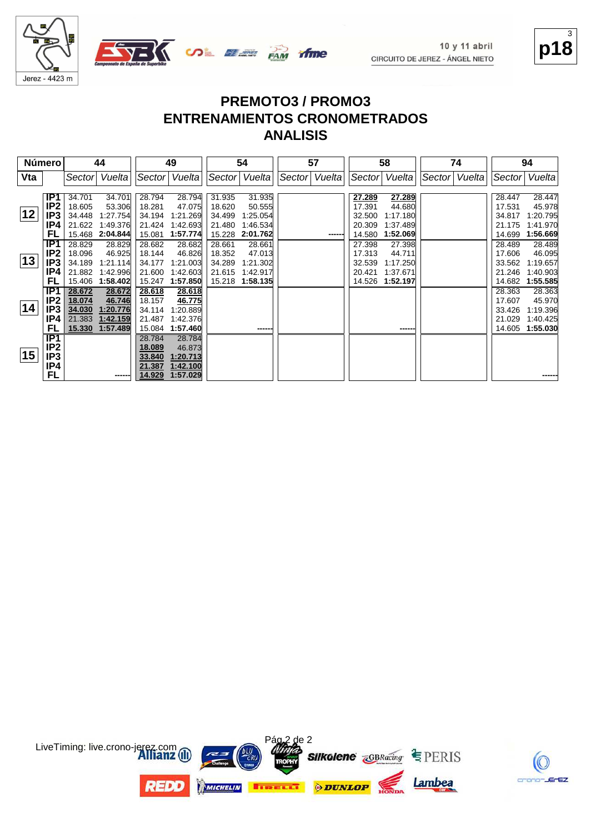

# **p18** 3

crano-JErEZ

| <b>Número</b> |                 |        | 44       |        | 49              |        | 54            |               | 57    |        | 58            |        | 74     |        | 94       |
|---------------|-----------------|--------|----------|--------|-----------------|--------|---------------|---------------|-------|--------|---------------|--------|--------|--------|----------|
| Vta           |                 | Sector | Vuelta   |        | Sector   Vuelta |        | Sector Vuelta | Sector Vuelta |       |        | Sector Vuelta | Sector | Vuelta | Sector | Vuelta   |
|               |                 |        |          |        |                 |        |               |               |       |        |               |        |        |        |          |
|               | IP1             | 34.701 | 34.701   | 28.794 | 28.794          | 31.935 | 31.935        |               |       | 27.289 | 27.289        |        |        | 28.447 | 28.447   |
|               | IP <sub>2</sub> | 18.605 | 53.306   | 18.281 | 47.075          | 18.620 | 50.555        |               |       | 17.391 | 44.680        |        |        | 17.531 | 45.978   |
| 12            | IP <sub>3</sub> | 34.448 | 1:27.754 | 34.194 | 1:21.269        | 34.499 | 1:25.054      |               |       | 32.500 | 1:17.180      |        |        | 34.817 | 1:20.795 |
|               | IP4             | 21.622 | 1:49.376 | 21.424 | 1:42.693        | 21.480 | 1.46.534      |               |       | 20.309 | 1:37.489      |        |        | 21.175 | 1:41.970 |
|               | FL              | 15.468 | 2:04.844 | 15.081 | 1:57.774        | 15.228 | 2:01.762      |               | ----- | 14.580 | 1:52.069      |        |        | 14.699 | 1:56.669 |
|               | IP <sub>1</sub> | 28.829 | 28.829   | 28.682 | 28.682          | 28.661 | 28.661        |               |       | 27.398 | 27.398        |        |        | 28.489 | 28.489   |
|               | IP <sub>2</sub> | 18.096 | 46.925   | 18.144 | 46.826          | 18.352 | 47.013        |               |       | 17.313 | 44.711        |        |        | 17.606 | 46.095   |
| 13            | IP <sub>3</sub> | 34.189 | 1:21.114 | 34.177 | 1:21.003        | 34.289 | 1:21.302      |               |       | 32.539 | 1:17.250      |        |        | 33.562 | 1:19.657 |
|               | IP4             | 21.882 | 1:42.996 | 21.600 | 1:42.603        | 21.615 | 1:42.917      |               |       | 20.421 | 1:37.671      |        |        | 21.246 | 1:40.903 |
|               | FL              | 15.406 | 1:58.402 | 15.247 | 1:57.850        | 15.218 | 1:58.135      |               |       | 14.526 | 1:52.197      |        |        | 14.682 | 1:55.585 |
|               | TP1             | 28.672 | 28.672   | 28.618 | 28.618          |        |               |               |       |        |               |        |        | 28.363 | 28.363   |
|               | IP <sub>2</sub> | 18.074 | 46.746   | 18.157 | 46.775          |        |               |               |       |        |               |        |        | 17.607 | 45.970   |
| 14            | IP <sub>3</sub> | 34.030 | 1:20.776 | 34.114 | 1:20.889        |        |               |               |       |        |               |        |        | 33.426 | 1:19.396 |
|               | IP4             | 21.383 | 1:42.159 | 21.487 | 1:42.376        |        |               |               |       |        |               |        |        | 21.029 | 1:40.425 |
|               | FL              | 15.330 | 1:57.489 | 15.084 | 1:57.460        |        | ------        |               |       |        | ------        |        |        | 14.605 | 1:55.030 |
|               | IP1             |        |          | 28.784 | 28.784          |        |               |               |       |        |               |        |        |        |          |
|               | IP <sub>2</sub> |        |          | 18.089 | 46.873          |        |               |               |       |        |               |        |        |        |          |
| 15            | IP3             |        |          | 33.840 | 1:20.713        |        |               |               |       |        |               |        |        |        |          |
|               | IP4             |        |          | 21.387 | 1:42.100        |        |               |               |       |        |               |        |        |        |          |
|               | FL              |        | ------   | 14.929 | 1:57.029        |        |               |               |       |        |               |        |        |        |          |

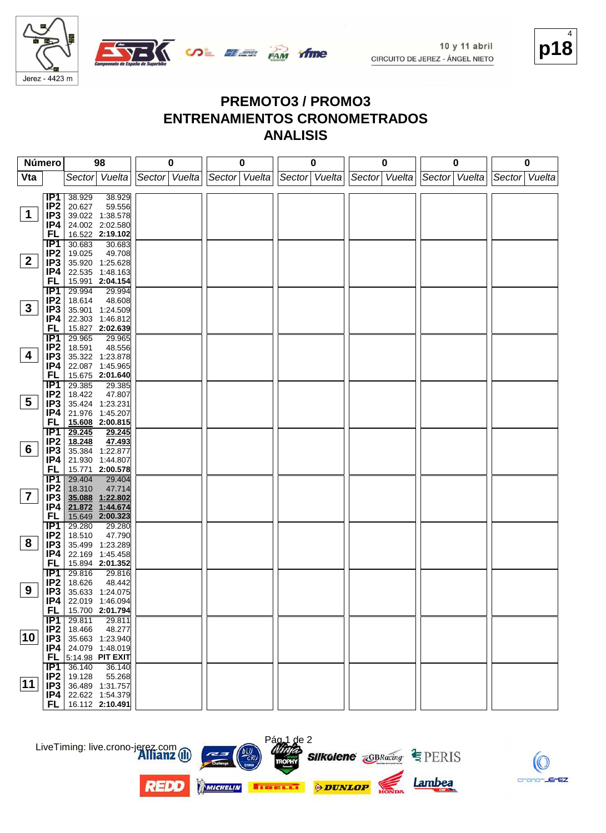

# **p18** 4

#### **PREMOTO3 / PROMO3 ENTRENAMIENTOS CRONOMETRADOS ANALISIS**

| Número         |                  | 98                                  | 0             | 0               | 0             | 0             | 0             | 0             |
|----------------|------------------|-------------------------------------|---------------|-----------------|---------------|---------------|---------------|---------------|
| Vta            |                  | Sector Vuelta                       | Sector Vuelta | Sector   Vuelta | Sector Vuelta | Sector Vuelta | Sector Vuelta | Sector Vuelta |
|                |                  |                                     |               |                 |               |               |               |               |
|                | IP1              | 38.929<br>38.929                    |               |                 |               |               |               |               |
| $\mathbf 1$    | IP <sub>2</sub>  | 20.627<br>59.556                    |               |                 |               |               |               |               |
|                | IP3              | 39.022 1:38.578                     |               |                 |               |               |               |               |
|                | IP4<br>FL        | 24.002 2:02.580<br>16.522 2:19.102  |               |                 |               |               |               |               |
|                | IP1              | 30.683<br>30.683                    |               |                 |               |               |               |               |
|                | IP <sub>2</sub>  | 19.025<br>49.708                    |               |                 |               |               |               |               |
| $\mathbf{2}$   | IP3              | 35.920 1:25.628                     |               |                 |               |               |               |               |
|                | IP4              | 22.535 1:48.163                     |               |                 |               |               |               |               |
|                | FL               | 15.991 2:04.154                     |               |                 |               |               |               |               |
|                | <b>IP1</b>       | 29.994<br>29.994                    |               |                 |               |               |               |               |
|                | IP <sub>2</sub>  | 18.614<br>48.608                    |               |                 |               |               |               |               |
| 3              | IP3              | 35.901 1:24.509                     |               |                 |               |               |               |               |
|                | IP4              | 22.303 1:46.812                     |               |                 |               |               |               |               |
|                | <b>FL</b>        | 15.827 2:02.639                     |               |                 |               |               |               |               |
|                | IP1              | 29.965<br>29.965                    |               |                 |               |               |               |               |
|                | IP <sub>2</sub>  | 18.591<br>48.556                    |               |                 |               |               |               |               |
| 4              | IP3              | 35.322 1:23.878                     |               |                 |               |               |               |               |
|                | IP4              | 22.087 1:45.965                     |               |                 |               |               |               |               |
|                | <b>FL</b><br>IP1 | 15.675 2:01.640<br>29.385           |               |                 |               |               |               |               |
|                | IP <sub>2</sub>  | 29.385<br>18.422<br>47.807          |               |                 |               |               |               |               |
| 5              | IP3              | 35.424 1:23.231                     |               |                 |               |               |               |               |
|                | IP4              | 21.976 1:45.207                     |               |                 |               |               |               |               |
|                | FL               | 15.608 2:00.815                     |               |                 |               |               |               |               |
|                | IP1              | 29.245<br>29.245                    |               |                 |               |               |               |               |
|                | IP <sub>2</sub>  | 47.493<br>18.248                    |               |                 |               |               |               |               |
| 6              | IP3              | 35.384 1:22.877                     |               |                 |               |               |               |               |
|                | IP4              | 21.930 1:44.807                     |               |                 |               |               |               |               |
|                | FL               | 15.771 2:00.578                     |               |                 |               |               |               |               |
|                | IP1              | 29.404<br>29.404                    |               |                 |               |               |               |               |
| $\overline{7}$ | IP <sub>2</sub>  | 18.310<br>47.714                    |               |                 |               |               |               |               |
|                | IP3              | 35.088 1:22.802                     |               |                 |               |               |               |               |
|                | IP4<br>FL        | 21.872 1:44.674<br>15.649 2:00.323  |               |                 |               |               |               |               |
|                | IP1              | 29.280<br>29.280                    |               |                 |               |               |               |               |
|                | IP <sub>2</sub>  | 47.790<br>18.510                    |               |                 |               |               |               |               |
| 8              | IP3              | 35.499<br>1:23.289                  |               |                 |               |               |               |               |
|                | IP4              | 22.169 1:45.458                     |               |                 |               |               |               |               |
|                | <b>FL</b>        | 15.894 2:01.352                     |               |                 |               |               |               |               |
|                | IP1              | 29.816<br>29.816                    |               |                 |               |               |               |               |
|                | IP <sub>2</sub>  | 18.626<br>48.442                    |               |                 |               |               |               |               |
| 9              | IP3              | 35.633 1:24.075                     |               |                 |               |               |               |               |
|                | IP4              | 22.019 1:46.094                     |               |                 |               |               |               |               |
|                | FL,              | 15.700 2:01.794                     |               |                 |               |               |               |               |
|                | $\overline{IP1}$ | 29.811<br>29.811                    |               |                 |               |               |               |               |
| 10             | IP2<br>IP3       | 18.466<br>48.277<br>35.663 1:23.940 |               |                 |               |               |               |               |
|                | P4               | 24.079 1:48.019                     |               |                 |               |               |               |               |
|                | FL.              | 5:14.98 PIT EXIT                    |               |                 |               |               |               |               |
|                | IP1              | 36.140<br>36.140                    |               |                 |               |               |               |               |
|                | IP <sub>2</sub>  | 19.128<br>55.268                    |               |                 |               |               |               |               |
| 11             | IP3              | 36.489 1:31.757                     |               |                 |               |               |               |               |
|                |                  | $IP4$   22.622 1:54.379             |               |                 |               |               |               |               |
|                | FL               | 16.112 2:10.491                     |               |                 |               |               |               |               |

LiveTiming: live.crono-jerez.com



**REDO** 



Pág 1 de 2





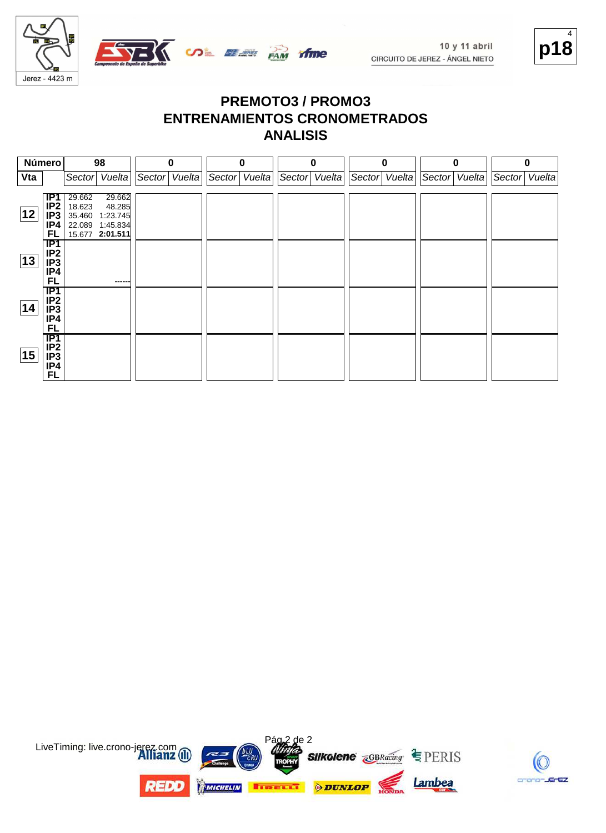



| Número |                                                                            |                                      | 98                                                          |        | 0      |               | O |               | 0 | $\bf{0}$        |        | 0      |               | Λ |
|--------|----------------------------------------------------------------------------|--------------------------------------|-------------------------------------------------------------|--------|--------|---------------|---|---------------|---|-----------------|--------|--------|---------------|---|
| Vta    |                                                                            | Sector                               | Vuelta                                                      | Sector | Vuelta | Sector Vuelta |   | Sector Vuelta |   | Sector   Vuelta | Sector | Vuelta | Sector Vuelta |   |
| 12     | IP1<br>IP <sub>2</sub><br>IP <sub>3</sub><br>IP4<br>FL                     | 29.662<br>18.623<br>35.460<br>22.089 | 29.662<br>48.285<br>1:23.745<br>1:45.834<br>15.677 2:01.511 |        |        |               |   |               |   |                 |        |        |               |   |
| 13     | $\overline{IP1}$<br>IP <sub>2</sub><br>IP <sub>3</sub><br>IP4<br><b>FL</b> |                                      | ------                                                      |        |        |               |   |               |   |                 |        |        |               |   |
| 14     | TP1<br>IP <sub>2</sub><br>IP <sub>3</sub><br>IP4<br><b>FL</b>              |                                      |                                                             |        |        |               |   |               |   |                 |        |        |               |   |
| 15     | TP1<br>IP <sub>2</sub><br>IP <sub>3</sub><br>IP4<br><b>FL</b>              |                                      |                                                             |        |        |               |   |               |   |                 |        |        |               |   |



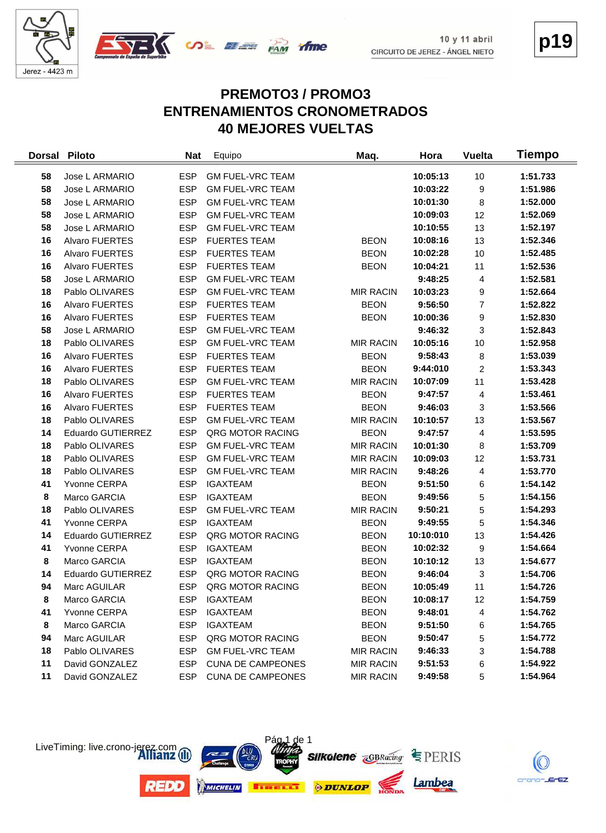



# **PREMOTO3 / PROMO3 ENTRENAMIENTOS CRONOMETRADOS 40 MEJORES VUELTAS**

| <b>Dorsal</b> | <b>Piloto</b>            | <b>Nat</b> | Equipo                   | Maq.             | Hora      | <b>Vuelta</b>  | Tiempo   |
|---------------|--------------------------|------------|--------------------------|------------------|-----------|----------------|----------|
| 58            | Jose L ARMARIO           | <b>ESP</b> | <b>GM FUEL-VRC TEAM</b>  |                  | 10:05:13  | 10             | 1:51.733 |
| 58            | Jose L ARMARIO           | <b>ESP</b> | <b>GM FUEL-VRC TEAM</b>  |                  | 10:03:22  | 9              | 1:51.986 |
| 58            | Jose L ARMARIO           | <b>ESP</b> | <b>GM FUEL-VRC TEAM</b>  |                  | 10:01:30  | 8              | 1:52.000 |
| 58            | Jose L ARMARIO           | <b>ESP</b> | <b>GM FUEL-VRC TEAM</b>  |                  | 10:09:03  | 12             | 1:52.069 |
| 58            | Jose L ARMARIO           | <b>ESP</b> | <b>GM FUEL-VRC TEAM</b>  |                  | 10:10:55  | 13             | 1:52.197 |
| 16            | Alvaro FUERTES           | <b>ESP</b> | <b>FUERTES TEAM</b>      | <b>BEON</b>      | 10:08:16  | 13             | 1:52.346 |
| 16            | Alvaro FUERTES           | <b>ESP</b> | <b>FUERTES TEAM</b>      | <b>BEON</b>      | 10:02:28  | 10             | 1:52.485 |
| 16            | Alvaro FUERTES           | <b>ESP</b> | <b>FUERTES TEAM</b>      | <b>BEON</b>      | 10:04:21  | 11             | 1:52.536 |
| 58            | Jose L ARMARIO           | <b>ESP</b> | <b>GM FUEL-VRC TEAM</b>  |                  | 9:48:25   | 4              | 1:52.581 |
| 18            | Pablo OLIVARES           | <b>ESP</b> | <b>GM FUEL-VRC TEAM</b>  | <b>MIR RACIN</b> | 10:03:23  | 9              | 1:52.664 |
| 16            | Alvaro FUERTES           | <b>ESP</b> | <b>FUERTES TEAM</b>      | <b>BEON</b>      | 9:56:50   | $\overline{7}$ | 1:52.822 |
| 16            | Alvaro FUERTES           | <b>ESP</b> | <b>FUERTES TEAM</b>      | <b>BEON</b>      | 10:00:36  | 9              | 1:52.830 |
| 58            | Jose L ARMARIO           | <b>ESP</b> | <b>GM FUEL-VRC TEAM</b>  |                  | 9:46:32   | 3              | 1:52.843 |
| 18            | Pablo OLIVARES           | <b>ESP</b> | <b>GM FUEL-VRC TEAM</b>  | <b>MIR RACIN</b> | 10:05:16  | 10             | 1:52.958 |
| 16            | Alvaro FUERTES           | <b>ESP</b> | <b>FUERTES TEAM</b>      | <b>BEON</b>      | 9:58:43   | 8              | 1:53.039 |
| 16            | <b>Alvaro FUERTES</b>    | <b>ESP</b> | <b>FUERTES TEAM</b>      | <b>BEON</b>      | 9:44:010  | $\overline{c}$ | 1:53.343 |
| 18            | Pablo OLIVARES           | <b>ESP</b> | <b>GM FUEL-VRC TEAM</b>  | <b>MIR RACIN</b> | 10:07:09  | 11             | 1:53.428 |
| 16            | Alvaro FUERTES           | <b>ESP</b> | <b>FUERTES TEAM</b>      | <b>BEON</b>      | 9:47:57   | 4              | 1:53.461 |
| 16            | Alvaro FUERTES           | <b>ESP</b> | <b>FUERTES TEAM</b>      | <b>BEON</b>      | 9:46:03   | 3              | 1:53.566 |
| 18            | Pablo OLIVARES           | <b>ESP</b> | <b>GM FUEL-VRC TEAM</b>  | <b>MIR RACIN</b> | 10:10:57  | 13             | 1:53.567 |
| 14            | <b>Eduardo GUTIERREZ</b> | <b>ESP</b> | <b>QRG MOTOR RACING</b>  | <b>BEON</b>      | 9:47:57   | 4              | 1:53.595 |
| 18            | Pablo OLIVARES           | <b>ESP</b> | <b>GM FUEL-VRC TEAM</b>  | <b>MIR RACIN</b> | 10:01:30  | 8              | 1:53.709 |
| 18            | Pablo OLIVARES           | <b>ESP</b> | <b>GM FUEL-VRC TEAM</b>  | <b>MIR RACIN</b> | 10:09:03  | 12             | 1:53.731 |
| 18            | Pablo OLIVARES           | <b>ESP</b> | <b>GM FUEL-VRC TEAM</b>  | <b>MIR RACIN</b> | 9:48:26   | 4              | 1:53.770 |
| 41            | Yvonne CERPA             | <b>ESP</b> | <b>IGAXTEAM</b>          | <b>BEON</b>      | 9:51:50   | 6              | 1:54.142 |
| 8             | Marco GARCIA             | <b>ESP</b> | <b>IGAXTEAM</b>          | <b>BEON</b>      | 9:49:56   | 5              | 1:54.156 |
| 18            | Pablo OLIVARES           | <b>ESP</b> | <b>GM FUEL-VRC TEAM</b>  | <b>MIR RACIN</b> | 9:50:21   | 5              | 1:54.293 |
| 41            | Yvonne CERPA             | <b>ESP</b> | <b>IGAXTEAM</b>          | <b>BEON</b>      | 9:49:55   | $\sqrt{5}$     | 1:54.346 |
| 14            | Eduardo GUTIERREZ        | <b>ESP</b> | QRG MOTOR RACING         | <b>BEON</b>      | 10:10:010 | 13             | 1:54.426 |
| 41            | Yvonne CERPA             | <b>ESP</b> | <b>IGAXTEAM</b>          | <b>BEON</b>      | 10:02:32  | 9              | 1:54.664 |
| 8             | Marco GARCIA             | <b>ESP</b> | <b>IGAXTEAM</b>          | <b>BEON</b>      | 10:10:12  | 13             | 1:54.677 |
| 14            | <b>Eduardo GUTIERREZ</b> | <b>ESP</b> | QRG MOTOR RACING         | <b>BEON</b>      | 9:46:04   | 3              | 1:54.706 |
| 94            | Marc AGUILAR             | <b>ESP</b> | QRG MOTOR RACING         | <b>BEON</b>      | 10:05:49  | 11             | 1:54.726 |
| 8             | Marco GARCIA             | <b>ESP</b> | <b>IGAXTEAM</b>          | <b>BEON</b>      | 10:08:17  | 12             | 1:54.759 |
| 41            | Yvonne CERPA             | <b>ESP</b> | <b>IGAXTEAM</b>          | <b>BEON</b>      | 9:48:01   | 4              | 1:54.762 |
| 8             | Marco GARCIA             | <b>ESP</b> | <b>IGAXTEAM</b>          | <b>BEON</b>      | 9:51:50   | 6              | 1:54.765 |
| 94            | Marc AGUILAR             | <b>ESP</b> | QRG MOTOR RACING         | <b>BEON</b>      | 9:50:47   | 5              | 1:54.772 |
| 18            | Pablo OLIVARES           | <b>ESP</b> | <b>GM FUEL-VRC TEAM</b>  | <b>MIR RACIN</b> | 9:46:33   | 3              | 1:54.788 |
| 11            | David GONZALEZ           | <b>ESP</b> | <b>CUNA DE CAMPEONES</b> | <b>MIR RACIN</b> | 9:51:53   | 6              | 1:54.922 |
| 11            | David GONZALEZ           | <b>ESP</b> | <b>CUNA DE CAMPEONES</b> | <b>MIR RACIN</b> | 9:49:58   | 5              | 1:54.964 |



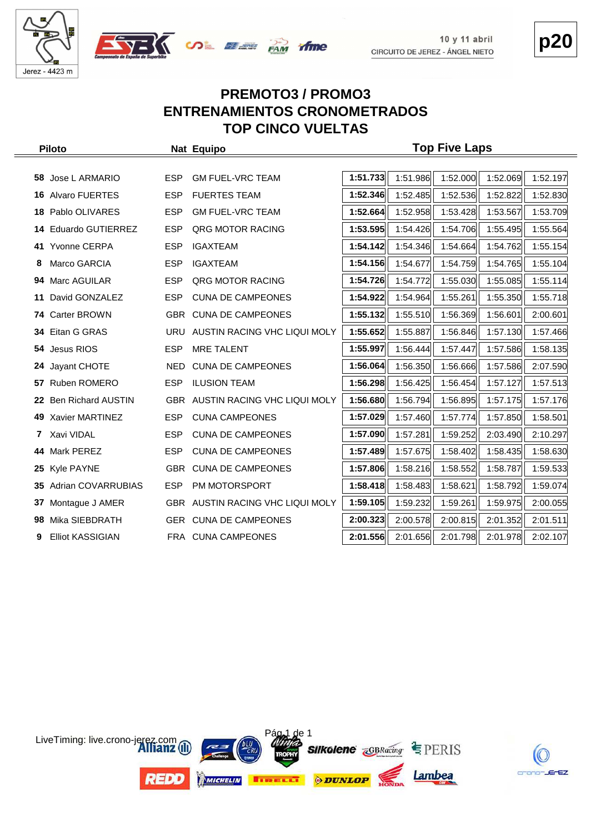



# **p20**

#### **PREMOTO3 / PROMO3 ENTRENAMIENTOS CRONOMETRADOS TOP CINCO VUELTAS**

| <b>Piloto</b> |                           |            | Nat Equipo                       | <b>Top Five Laps</b> |          |          |          |          |  |
|---------------|---------------------------|------------|----------------------------------|----------------------|----------|----------|----------|----------|--|
|               |                           |            |                                  |                      |          |          |          |          |  |
| 58            | Jose L ARMARIO            | <b>ESP</b> | <b>GM FUEL-VRC TEAM</b>          | 1:51.733             | 1:51.986 | 1:52.000 | 1:52.069 | 1:52.197 |  |
| 16            | <b>Alvaro FUERTES</b>     | <b>ESP</b> | <b>FUERTES TEAM</b>              | 1:52.346             | 1:52.485 | 1:52.536 | 1:52.822 | 1:52.830 |  |
| 18            | Pablo OLIVARES            | <b>ESP</b> | <b>GM FUEL-VRC TEAM</b>          | 1:52.664             | 1:52.958 | 1:53.428 | 1:53.567 | 1:53.709 |  |
| 14            | <b>Eduardo GUTIERREZ</b>  | <b>ESP</b> | QRG MOTOR RACING                 | 1:53.595             | 1:54.426 | 1:54.706 | 1:55.495 | 1:55.564 |  |
| 41.           | <b>Yvonne CERPA</b>       | <b>ESP</b> | <b>IGAXTEAM</b>                  | 1:54.142             | 1:54.346 | 1:54.664 | 1:54.762 | 1:55.154 |  |
| 8             | Marco GARCIA              | <b>ESP</b> | <b>IGAXTEAM</b>                  | 1:54.156             | 1:54.677 | 1:54.759 | 1:54.765 | 1:55.104 |  |
| 94            | Marc AGUILAR              | <b>ESP</b> | <b>QRG MOTOR RACING</b>          | 1:54.726             | 1:54.772 | 1:55.030 | 1:55.085 | 1:55.114 |  |
| 11            | David GONZALEZ            | <b>ESP</b> | <b>CUNA DE CAMPEONES</b>         | 1:54.922             | 1:54.964 | 1:55.261 | 1:55.350 | 1:55.718 |  |
| 74            | <b>Carter BROWN</b>       |            | GBR CUNA DE CAMPEONES            | 1:55.132             | 1:55.510 | 1:56.369 | 1:56.601 | 2:00.601 |  |
|               | 34 Eitan G GRAS           | URU        | AUSTIN RACING VHC LIQUI MOLY     | 1:55.652             | 1:55.887 | 1:56.846 | 1:57.130 | 1:57.466 |  |
| 54.           | Jesus RIOS                | <b>ESP</b> | <b>MRE TALENT</b>                | 1:55.997             | 1:56.444 | 1:57.447 | 1:57.586 | 1:58.135 |  |
|               | 24 Jayant CHOTE           | NED.       | <b>CUNA DE CAMPEONES</b>         | 1:56.064             | 1:56.350 | 1:56.666 | 1:57.586 | 2:07.590 |  |
|               | 57 Ruben ROMERO           | <b>ESP</b> | <b>ILUSION TEAM</b>              | 1:56.298             | 1:56.425 | 1:56.454 | 1:57.127 | 1:57.513 |  |
| 22            | <b>Ben Richard AUSTIN</b> |            | GBR AUSTIN RACING VHC LIQUI MOLY | 1:56.680             | 1:56.794 | 1:56.895 | 1:57.175 | 1:57.176 |  |
| 49.           | Xavier MARTINEZ           | <b>ESP</b> | <b>CUNA CAMPEONES</b>            | 1:57.029             | 1:57.460 | 1:57.774 | 1:57.850 | 1:58.501 |  |
| 7             | Xavi VIDAL                | <b>ESP</b> | <b>CUNA DE CAMPEONES</b>         | 1:57.090             | 1:57.281 | 1:59.252 | 2:03.490 | 2:10.297 |  |
| 44            | Mark PEREZ                | <b>ESP</b> | <b>CUNA DE CAMPEONES</b>         | 1:57.489             | 1:57.675 | 1:58.402 | 1:58.435 | 1:58.630 |  |
| 25            | Kyle PAYNE                |            | GBR CUNA DE CAMPEONES            | 1:57.806             | 1:58.216 | 1:58.552 | 1:58.787 | 1:59.533 |  |
| 35            | Adrian COVARRUBIAS        | <b>ESP</b> | PM MOTORSPORT                    | 1:58.418             | 1:58.483 | 1:58.621 | 1:58.792 | 1:59.074 |  |
| 37            | Montague J AMER           |            | GBR AUSTIN RACING VHC LIQUI MOLY | 1:59.105             | 1:59.232 | 1:59.261 | 1:59.975 | 2:00.055 |  |
| 98            | Mika SIEBDRATH            |            | GER CUNA DE CAMPEONES            | 2:00.323             | 2:00.578 | 2:00.815 | 2:01.352 | 2:01.511 |  |
| 9             | <b>Elliot KASSIGIAN</b>   |            | FRA CUNA CAMPEONES               | 2:01.556             | 2:01.656 | 2:01.798 | 2:01.978 | 2:02.107 |  |



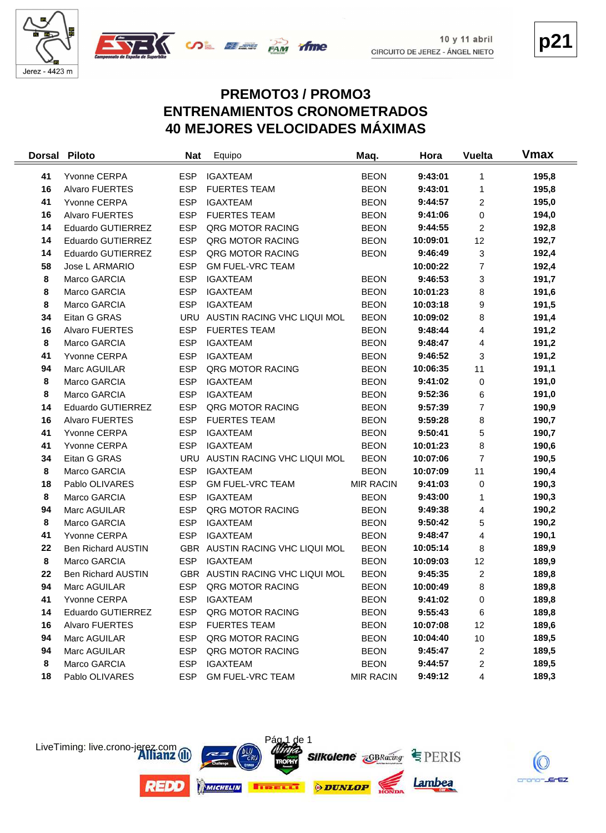

 $\equiv$ 



#### **PREMOTO3 / PROMO3 ENTRENAMIENTOS CRONOMETRADOS 40 MEJORES VELOCIDADES MÁXIMAS**

| <b>Dorsal</b> | <b>Piloto</b>             | <b>Nat</b> | Equipo                          | Maq.             | Hora     | <b>Vuelta</b>  | <b>Vmax</b> |
|---------------|---------------------------|------------|---------------------------------|------------------|----------|----------------|-------------|
| 41            | Yvonne CERPA              | <b>ESP</b> | <b>IGAXTEAM</b>                 | <b>BEON</b>      | 9:43:01  | 1              | 195,8       |
| 16            | Alvaro FUERTES            | <b>ESP</b> | <b>FUERTES TEAM</b>             | <b>BEON</b>      | 9:43:01  | 1              | 195,8       |
| 41            | Yvonne CERPA              | <b>ESP</b> | <b>IGAXTEAM</b>                 | <b>BEON</b>      | 9:44:57  | 2              | 195,0       |
| 16            | Alvaro FUERTES            | <b>ESP</b> | <b>FUERTES TEAM</b>             | <b>BEON</b>      | 9:41:06  | 0              | 194,0       |
| 14            | Eduardo GUTIERREZ         | <b>ESP</b> | QRG MOTOR RACING                | <b>BEON</b>      | 9:44:55  | 2              | 192,8       |
| 14            | Eduardo GUTIERREZ         | <b>ESP</b> | QRG MOTOR RACING                | <b>BEON</b>      | 10:09:01 | 12             | 192,7       |
| 14            | Eduardo GUTIERREZ         | <b>ESP</b> | QRG MOTOR RACING                | <b>BEON</b>      | 9:46:49  | 3              | 192,4       |
| 58            | Jose L ARMARIO            | <b>ESP</b> | <b>GM FUEL-VRC TEAM</b>         |                  | 10:00:22 | $\overline{7}$ | 192,4       |
| 8             | Marco GARCIA              | <b>ESP</b> | <b>IGAXTEAM</b>                 | <b>BEON</b>      | 9:46:53  | 3              | 191,7       |
| 8             | Marco GARCIA              | <b>ESP</b> | <b>IGAXTEAM</b>                 | <b>BEON</b>      | 10:01:23 | 8              | 191,6       |
| 8             | Marco GARCIA              | <b>ESP</b> | <b>IGAXTEAM</b>                 | <b>BEON</b>      | 10:03:18 | 9              | 191,5       |
| 34            | Eitan G GRAS              | <b>URU</b> | AUSTIN RACING VHC LIQUI MOL     | <b>BEON</b>      | 10:09:02 | 8              | 191,4       |
| 16            | Alvaro FUERTES            | <b>ESP</b> | <b>FUERTES TEAM</b>             | <b>BEON</b>      | 9:48:44  | 4              | 191,2       |
| 8             | Marco GARCIA              | <b>ESP</b> | <b>IGAXTEAM</b>                 | <b>BEON</b>      | 9:48:47  | 4              | 191,2       |
| 41            | Yvonne CERPA              | <b>ESP</b> | <b>IGAXTEAM</b>                 | <b>BEON</b>      | 9:46:52  | 3              | 191,2       |
| 94            | Marc AGUILAR              | <b>ESP</b> | QRG MOTOR RACING                | <b>BEON</b>      | 10:06:35 | 11             | 191,1       |
| 8             | Marco GARCIA              | <b>ESP</b> | <b>IGAXTEAM</b>                 | <b>BEON</b>      | 9:41:02  | 0              | 191,0       |
| 8             | Marco GARCIA              | <b>ESP</b> | <b>IGAXTEAM</b>                 | <b>BEON</b>      | 9:52:36  | 6              | 191,0       |
| 14            | Eduardo GUTIERREZ         | <b>ESP</b> | QRG MOTOR RACING                | <b>BEON</b>      | 9:57:39  | $\overline{7}$ | 190,9       |
| 16            | Alvaro FUERTES            | <b>ESP</b> | <b>FUERTES TEAM</b>             | <b>BEON</b>      | 9:59:28  | 8              | 190,7       |
| 41            | Yvonne CERPA              | <b>ESP</b> | <b>IGAXTEAM</b>                 | <b>BEON</b>      | 9:50:41  | 5              | 190,7       |
| 41            | Yvonne CERPA              | <b>ESP</b> | <b>IGAXTEAM</b>                 | <b>BEON</b>      | 10:01:23 | 8              | 190,6       |
| 34            | Eitan G GRAS              | URU        | AUSTIN RACING VHC LIQUI MOL     | <b>BEON</b>      | 10:07:06 | $\overline{7}$ | 190,5       |
| 8             | Marco GARCIA              | <b>ESP</b> | <b>IGAXTEAM</b>                 | <b>BEON</b>      | 10:07:09 | 11             | 190,4       |
| 18            | Pablo OLIVARES            | <b>ESP</b> | <b>GM FUEL-VRC TEAM</b>         | <b>MIR RACIN</b> | 9:41:03  | 0              | 190,3       |
| 8             | Marco GARCIA              | <b>ESP</b> | <b>IGAXTEAM</b>                 | <b>BEON</b>      | 9:43:00  | 1              | 190,3       |
| 94            | Marc AGUILAR              | <b>ESP</b> | QRG MOTOR RACING                | <b>BEON</b>      | 9:49:38  | 4              | 190,2       |
| 8             | Marco GARCIA              | <b>ESP</b> | <b>IGAXTEAM</b>                 | <b>BEON</b>      | 9:50:42  | 5              | 190,2       |
| 41            | Yvonne CERPA              | <b>ESP</b> | <b>IGAXTEAM</b>                 | <b>BEON</b>      | 9:48:47  | 4              | 190,1       |
| 22            | <b>Ben Richard AUSTIN</b> |            | GBR AUSTIN RACING VHC LIQUI MOL | <b>BEON</b>      | 10:05:14 | 8              | 189,9       |
| 8             | Marco GARCIA              | <b>ESP</b> | <b>IGAXTEAM</b>                 | <b>BEON</b>      | 10:09:03 | 12             | 189,9       |
| 22            | <b>Ben Richard AUSTIN</b> |            | GBR AUSTIN RACING VHC LIQUI MOL | <b>BEON</b>      | 9:45:35  | 2              | 189,8       |
| 94            | Marc AGUILAR              | <b>ESP</b> | QRG MOTOR RACING                | <b>BEON</b>      | 10:00:49 | 8              | 189,8       |
| 41            | Yvonne CERPA              | <b>ESP</b> | <b>IGAXTEAM</b>                 | <b>BEON</b>      | 9:41:02  | $\mathbf 0$    | 189,8       |
| 14            | Eduardo GUTIERREZ         | <b>ESP</b> | QRG MOTOR RACING                | <b>BEON</b>      | 9:55:43  | 6              | 189,8       |
| 16            | <b>Alvaro FUERTES</b>     | <b>ESP</b> | <b>FUERTES TEAM</b>             | <b>BEON</b>      | 10:07:08 | 12             | 189,6       |
| 94            | Marc AGUILAR              | <b>ESP</b> | QRG MOTOR RACING                | <b>BEON</b>      | 10:04:40 | 10             | 189,5       |
| 94            | Marc AGUILAR              | <b>ESP</b> | QRG MOTOR RACING                | <b>BEON</b>      | 9:45:47  | 2              | 189,5       |
| 8             | Marco GARCIA              | <b>ESP</b> | <b>IGAXTEAM</b>                 | <b>BEON</b>      | 9:44:57  | 2              | 189,5       |
| 18            | Pablo OLIVARES            | <b>ESP</b> | <b>GM FUEL-VRC TEAM</b>         | <b>MIR RACIN</b> | 9:49:12  | 4              | 189,3       |